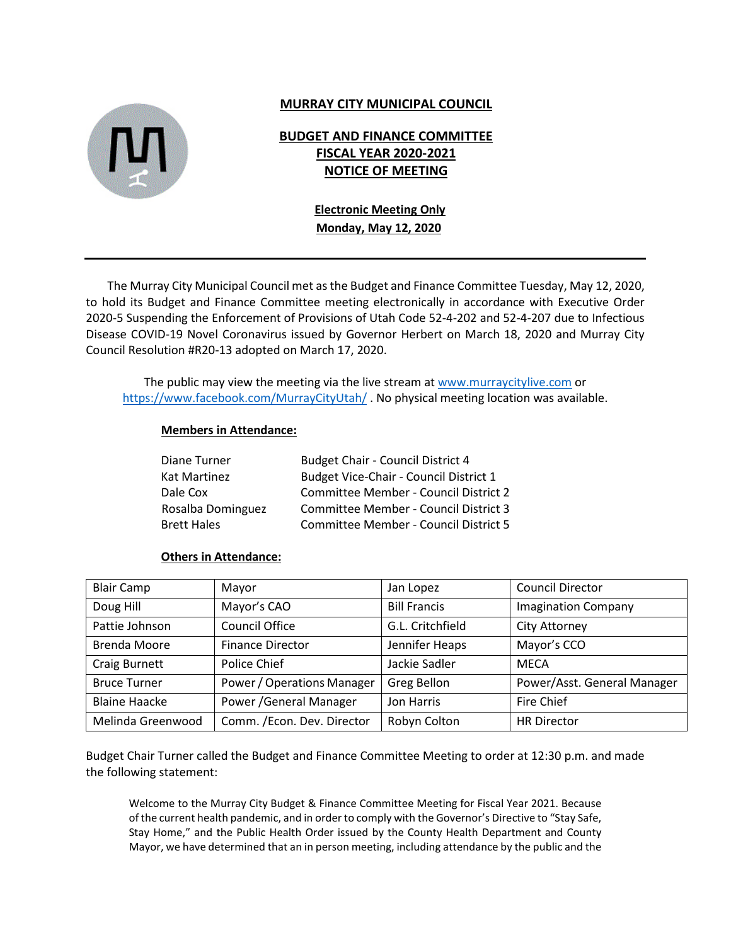

# **MURRAY CITY MUNICIPAL COUNCIL**

# **BUDGET AND FINANCE COMMITTEE FISCAL YEAR 2020-2021 NOTICE OF MEETING**

# **Electronic Meeting Only Monday, May 12, 2020**

The Murray City Municipal Council met as the Budget and Finance Committee Tuesday, May 12, 2020, to hold its Budget and Finance Committee meeting electronically in accordance with Executive Order 2020-5 Suspending the Enforcement of Provisions of Utah Code 52-4-202 and 52-4-207 due to Infectious Disease COVID-19 Novel Coronavirus issued by Governor Herbert on March 18, 2020 and Murray City Council Resolution #R20-13 adopted on March 17, 2020.

The public may view the meeting via the live stream at [www.murraycitylive.com](http://www.murraycitylive.com/) or <https://www.facebook.com/MurrayCityUtah/> . No physical meeting location was available.

## **Members in Attendance:**

| Diane Turner       | <b>Budget Chair - Council District 4</b> |
|--------------------|------------------------------------------|
| Kat Martinez       | Budget Vice-Chair - Council District 1   |
| Dale Cox           | Committee Member - Council District 2    |
| Rosalba Dominguez  | Committee Member - Council District 3    |
| <b>Brett Hales</b> | Committee Member - Council District 5    |

#### **Others in Attendance:**

| <b>Blair Camp</b>    | Mayor                             | Jan Lopez           | <b>Council Director</b>     |
|----------------------|-----------------------------------|---------------------|-----------------------------|
| Doug Hill            | Mayor's CAO                       | <b>Bill Francis</b> | <b>Imagination Company</b>  |
| Pattie Johnson       | <b>Council Office</b>             | G.L. Critchfield    | <b>City Attorney</b>        |
| <b>Brenda Moore</b>  | <b>Finance Director</b>           | Jennifer Heaps      | Mayor's CCO                 |
| <b>Craig Burnett</b> | Police Chief                      | Jackie Sadler       | <b>MECA</b>                 |
| <b>Bruce Turner</b>  | <b>Power / Operations Manager</b> | <b>Greg Bellon</b>  | Power/Asst. General Manager |
| <b>Blaine Haacke</b> | Power / General Manager           | Jon Harris          | Fire Chief                  |
| Melinda Greenwood    | Comm. /Econ. Dev. Director        | Robyn Colton        | <b>HR Director</b>          |

Budget Chair Turner called the Budget and Finance Committee Meeting to order at 12:30 p.m. and made the following statement:

Welcome to the Murray City Budget & Finance Committee Meeting for Fiscal Year 2021. Because of the current health pandemic, and in order to comply with the Governor's Directive to "Stay Safe, Stay Home," and the Public Health Order issued by the County Health Department and County Mayor, we have determined that an in person meeting, including attendance by the public and the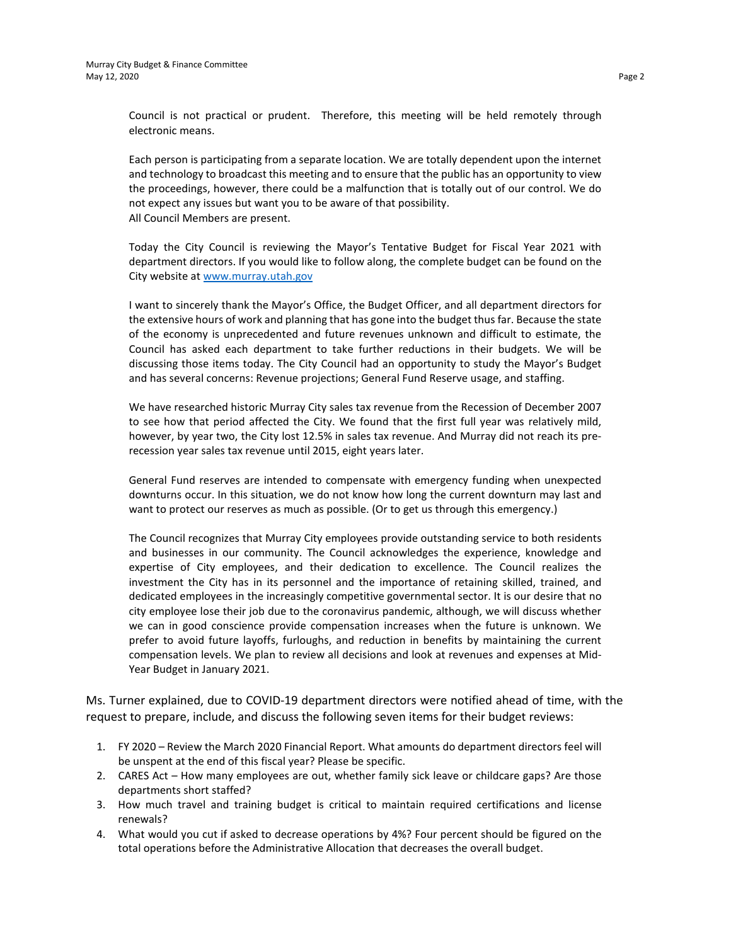Council is not practical or prudent. Therefore, this meeting will be held remotely through electronic means.

Each person is participating from a separate location. We are totally dependent upon the internet and technology to broadcast this meeting and to ensure that the public has an opportunity to view the proceedings, however, there could be a malfunction that is totally out of our control. We do not expect any issues but want you to be aware of that possibility. All Council Members are present.

Today the City Council is reviewing the Mayor's Tentative Budget for Fiscal Year 2021 with department directors. If you would like to follow along, the complete budget can be found on the City website at [www.murray.utah.gov](http://www.murray.utah.gov/)

I want to sincerely thank the Mayor's Office, the Budget Officer, and all department directors for the extensive hours of work and planning that has gone into the budget thus far. Because the state of the economy is unprecedented and future revenues unknown and difficult to estimate, the Council has asked each department to take further reductions in their budgets. We will be discussing those items today. The City Council had an opportunity to study the Mayor's Budget and has several concerns: Revenue projections; General Fund Reserve usage, and staffing.

We have researched historic Murray City sales tax revenue from the Recession of December 2007 to see how that period affected the City. We found that the first full year was relatively mild, however, by year two, the City lost 12.5% in sales tax revenue. And Murray did not reach its prerecession year sales tax revenue until 2015, eight years later.

General Fund reserves are intended to compensate with emergency funding when unexpected downturns occur. In this situation, we do not know how long the current downturn may last and want to protect our reserves as much as possible. (Or to get us through this emergency.)

The Council recognizes that Murray City employees provide outstanding service to both residents and businesses in our community. The Council acknowledges the experience, knowledge and expertise of City employees, and their dedication to excellence. The Council realizes the investment the City has in its personnel and the importance of retaining skilled, trained, and dedicated employees in the increasingly competitive governmental sector. It is our desire that no city employee lose their job due to the coronavirus pandemic, although, we will discuss whether we can in good conscience provide compensation increases when the future is unknown. We prefer to avoid future layoffs, furloughs, and reduction in benefits by maintaining the current compensation levels. We plan to review all decisions and look at revenues and expenses at Mid-Year Budget in January 2021.

Ms. Turner explained, due to COVID-19 department directors were notified ahead of time, with the request to prepare, include, and discuss the following seven items for their budget reviews:

- 1. FY 2020 Review the March 2020 Financial Report. What amounts do department directors feel will be unspent at the end of this fiscal year? Please be specific.
- 2. CARES Act How many employees are out, whether family sick leave or childcare gaps? Are those departments short staffed?
- 3. How much travel and training budget is critical to maintain required certifications and license renewals?
- 4. What would you cut if asked to decrease operations by 4%? Four percent should be figured on the total operations before the Administrative Allocation that decreases the overall budget.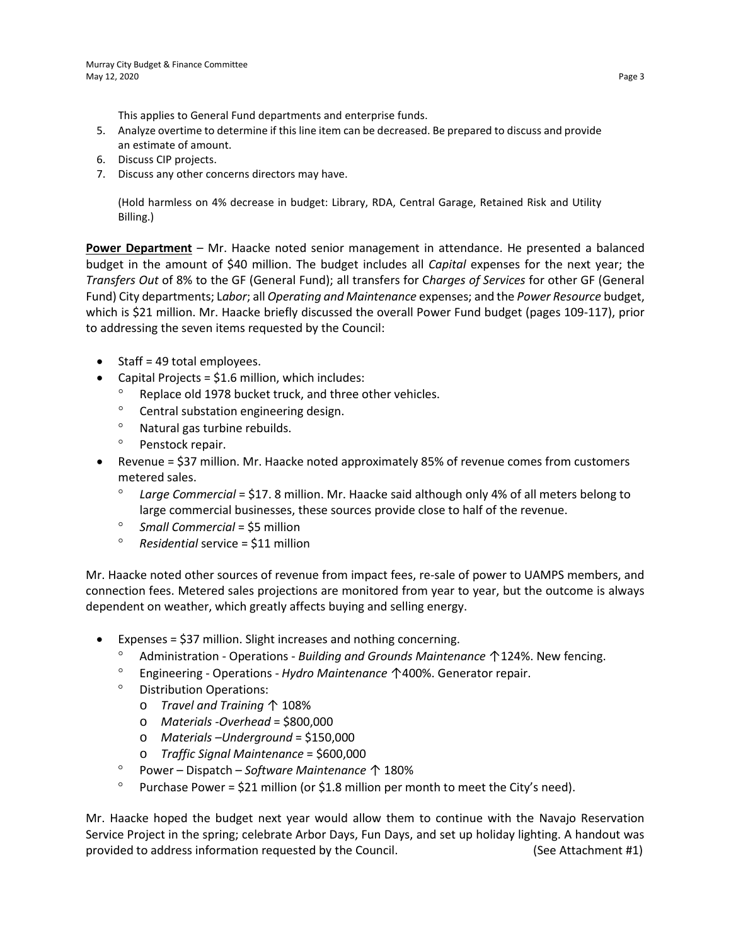This applies to General Fund departments and enterprise funds.

- 5. Analyze overtime to determine if this line item can be decreased. Be prepared to discuss and provide an estimate of amount.
- 6. Discuss CIP projects.
- 7. Discuss any other concerns directors may have.

(Hold harmless on 4% decrease in budget: Library, RDA, Central Garage, Retained Risk and Utility Billing.)

**Power Department** – Mr. Haacke noted senior management in attendance. He presented a balanced budget in the amount of \$40 million. The budget includes all *Capital* expenses for the next year; the *Transfers Out* of 8% to the GF (General Fund); all transfers for C*harges of Services* for other GF (General Fund) City departments; L*abor*; all *Operating and Maintenance* expenses; and the *Power Resource* budget, which is \$21 million. Mr. Haacke briefly discussed the overall Power Fund budget (pages 109-117), prior to addressing the seven items requested by the Council:

- Staff = 49 total employees.
- Capital Projects =  $$1.6$  million, which includes:
	- ° Replace old 1978 bucket truck, and three other vehicles.
	- ° Central substation engineering design.
	- ° Natural gas turbine rebuilds.
	- ° Penstock repair.
- Revenue = \$37 million. Mr. Haacke noted approximately 85% of revenue comes from customers metered sales.
	- ° *Large Commercial* = \$17. 8 million. Mr. Haacke said although only 4% of all meters belong to large commercial businesses, these sources provide close to half of the revenue.
	- ° *Small Commercial* = \$5 million
	- ° *Residential* service = \$11 million

Mr. Haacke noted other sources of revenue from impact fees, re-sale of power to UAMPS members, and connection fees. Metered sales projections are monitored from year to year, but the outcome is always dependent on weather, which greatly affects buying and selling energy.

- Expenses = \$37 million. Slight increases and nothing concerning.
	- ° Administration Operations *Building and Grounds Maintenance* ↑124%. New fencing.
	- ° Engineering Operations *Hydro Maintenance* ↑400%. Generator repair.
	- ° Distribution Operations:
		- o *Travel and Training* ↑ 108%
		- o *Materials* -*Overhead* = \$800,000
		- o *Materials –Underground* = \$150,000
		- o *Traffic Signal Maintenance* = \$600,000
	- ° Power Dispatch *Software Maintenance* ↑ 180%
	- $\degree$  Purchase Power = \$21 million (or \$1.8 million per month to meet the City's need).

Mr. Haacke hoped the budget next year would allow them to continue with the Navajo Reservation Service Project in the spring; celebrate Arbor Days, Fun Days, and set up holiday lighting. A handout was provided to address information requested by the Council. (See Attachment #1)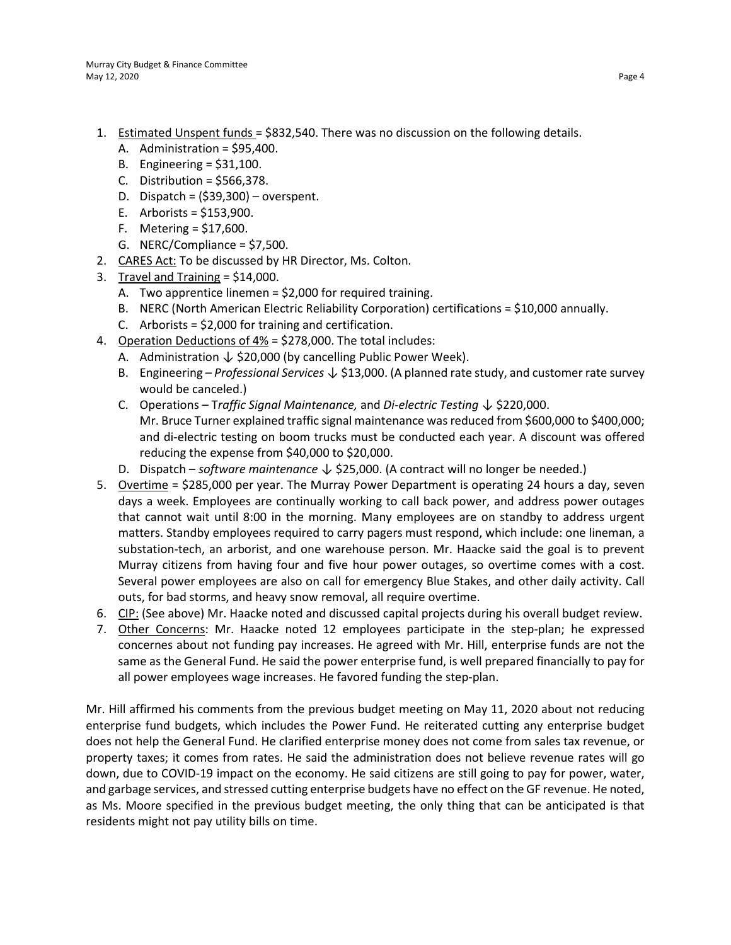- 1. Estimated Unspent funds = \$832,540. There was no discussion on the following details.
	- A. Administration = \$95,400.
	- B. Engineering = \$31,100.
	- C. Distribution =  $$566,378$ .
	- D. Dispatch = (\$39,300) overspent.
	- E. Arborists = \$153,900.
	- F. Metering = \$17,600.
	- G. NERC/Compliance = \$7,500.
- 2. CARES Act: To be discussed by HR Director, Ms. Colton.
- 3. Travel and Training = \$14,000.
	- A. Two apprentice linemen = \$2,000 for required training.
	- B. NERC (North American Electric Reliability Corporation) certifications = \$10,000 annually.
	- C. Arborists = \$2,000 for training and certification.
- 4. Operation Deductions of 4% = \$278,000. The total includes:
	- A. Administration  $\downarrow$  \$20,000 (by cancelling Public Power Week).
	- B. Engineering *Professional Services* ↓ \$13,000. (A planned rate study, and customer rate survey would be canceled.)
	- C. Operations T*raffic Signal Maintenance,* and *Di-electric Testing* ↓ \$220,000. Mr. Bruce Turner explained traffic signal maintenance was reduced from \$600,000 to \$400,000; and di-electric testing on boom trucks must be conducted each year. A discount was offered reducing the expense from \$40,000 to \$20,000.
	- D. Dispatch *software maintenance* ↓ \$25,000. (A contract will no longer be needed.)
- 5. Overtime = \$285,000 per year. The Murray Power Department is operating 24 hours a day, seven days a week. Employees are continually working to call back power, and address power outages that cannot wait until 8:00 in the morning. Many employees are on standby to address urgent matters. Standby employees required to carry pagers must respond, which include: one lineman, a substation-tech, an arborist, and one warehouse person. Mr. Haacke said the goal is to prevent Murray citizens from having four and five hour power outages, so overtime comes with a cost. Several power employees are also on call for emergency Blue Stakes, and other daily activity. Call outs, for bad storms, and heavy snow removal, all require overtime.
- 6. CIP: (See above) Mr. Haacke noted and discussed capital projects during his overall budget review.
- 7. Other Concerns: Mr. Haacke noted 12 employees participate in the step-plan; he expressed concernes about not funding pay increases. He agreed with Mr. Hill, enterprise funds are not the same as the General Fund. He said the power enterprise fund, is well prepared financially to pay for all power employees wage increases. He favored funding the step-plan.

Mr. Hill affirmed his comments from the previous budget meeting on May 11, 2020 about not reducing enterprise fund budgets, which includes the Power Fund. He reiterated cutting any enterprise budget does not help the General Fund. He clarified enterprise money does not come from sales tax revenue, or property taxes; it comes from rates. He said the administration does not believe revenue rates will go down, due to COVID-19 impact on the economy. He said citizens are still going to pay for power, water, and garbage services, and stressed cutting enterprise budgets have no effect on the GF revenue. He noted, as Ms. Moore specified in the previous budget meeting, the only thing that can be anticipated is that residents might not pay utility bills on time.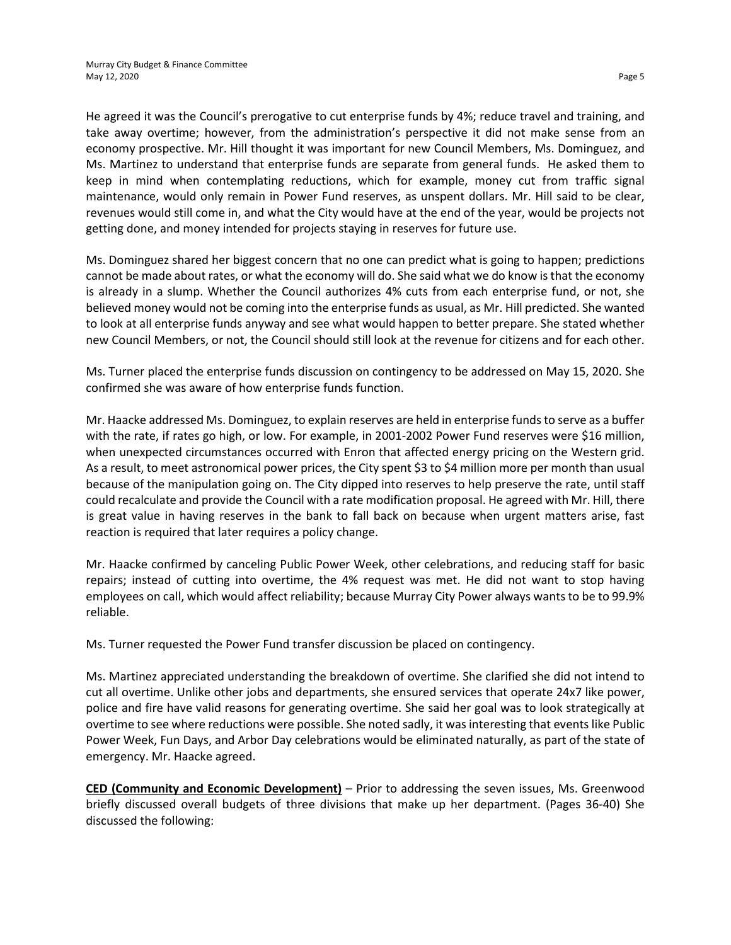He agreed it was the Council's prerogative to cut enterprise funds by 4%; reduce travel and training, and take away overtime; however, from the administration's perspective it did not make sense from an economy prospective. Mr. Hill thought it was important for new Council Members, Ms. Dominguez, and Ms. Martinez to understand that enterprise funds are separate from general funds. He asked them to keep in mind when contemplating reductions, which for example, money cut from traffic signal maintenance, would only remain in Power Fund reserves, as unspent dollars. Mr. Hill said to be clear, revenues would still come in, and what the City would have at the end of the year, would be projects not getting done, and money intended for projects staying in reserves for future use.

Ms. Dominguez shared her biggest concern that no one can predict what is going to happen; predictions cannot be made about rates, or what the economy will do. She said what we do know is that the economy is already in a slump. Whether the Council authorizes 4% cuts from each enterprise fund, or not, she believed money would not be coming into the enterprise funds as usual, as Mr. Hill predicted. She wanted to look at all enterprise funds anyway and see what would happen to better prepare. She stated whether new Council Members, or not, the Council should still look at the revenue for citizens and for each other.

Ms. Turner placed the enterprise funds discussion on contingency to be addressed on May 15, 2020. She confirmed she was aware of how enterprise funds function.

Mr. Haacke addressed Ms. Dominguez, to explain reserves are held in enterprise fundsto serve as a buffer with the rate, if rates go high, or low. For example, in 2001-2002 Power Fund reserves were \$16 million, when unexpected circumstances occurred with Enron that affected energy pricing on the Western grid. As a result, to meet astronomical power prices, the City spent \$3 to \$4 million more per month than usual because of the manipulation going on. The City dipped into reserves to help preserve the rate, until staff could recalculate and provide the Council with a rate modification proposal. He agreed with Mr. Hill, there is great value in having reserves in the bank to fall back on because when urgent matters arise, fast reaction is required that later requires a policy change.

Mr. Haacke confirmed by canceling Public Power Week, other celebrations, and reducing staff for basic repairs; instead of cutting into overtime, the 4% request was met. He did not want to stop having employees on call, which would affect reliability; because Murray City Power always wants to be to 99.9% reliable.

Ms. Turner requested the Power Fund transfer discussion be placed on contingency.

Ms. Martinez appreciated understanding the breakdown of overtime. She clarified she did not intend to cut all overtime. Unlike other jobs and departments, she ensured services that operate 24x7 like power, police and fire have valid reasons for generating overtime. She said her goal was to look strategically at overtime to see where reductions were possible. She noted sadly, it was interesting that events like Public Power Week, Fun Days, and Arbor Day celebrations would be eliminated naturally, as part of the state of emergency. Mr. Haacke agreed.

**CED (Community and Economic Development)** – Prior to addressing the seven issues, Ms. Greenwood briefly discussed overall budgets of three divisions that make up her department. (Pages 36-40) She discussed the following: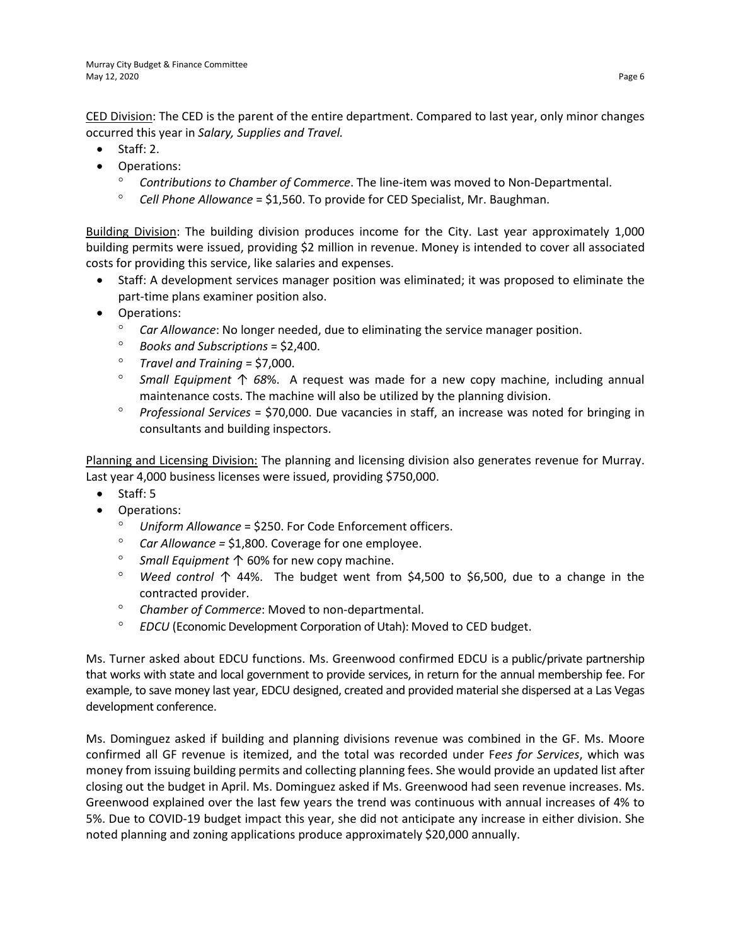CED Division: The CED is the parent of the entire department. Compared to last year, only minor changes occurred this year in *Salary, Supplies and Travel.*

- Staff: 2.
- Operations:
	- ° *Contributions to Chamber of Commerce*. The line-item was moved to Non-Departmental.
	- ° *Cell Phone Allowance* = \$1,560. To provide for CED Specialist, Mr. Baughman.

Building Division: The building division produces income for the City. Last year approximately 1,000 building permits were issued, providing \$2 million in revenue. Money is intended to cover all associated costs for providing this service, like salaries and expenses.

- Staff: A development services manager position was eliminated; it was proposed to eliminate the part-time plans examiner position also.
- Operations:
	- ° *Car Allowance*: No longer needed, due to eliminating the service manager position.
	- ° *Books and Subscriptions* = \$2,400.
	- ° *Travel and Training* = \$7,000.
	- ° *Small Equipment* ↑ *68*%. A request was made for a new copy machine, including annual maintenance costs. The machine will also be utilized by the planning division.
	- ° *Professional Services* = \$70,000. Due vacancies in staff, an increase was noted for bringing in consultants and building inspectors.

Planning and Licensing Division: The planning and licensing division also generates revenue for Murray. Last year 4,000 business licenses were issued, providing \$750,000.

- Staff: 5
- Operations:
	- ° *Uniform Allowance* = \$250. For Code Enforcement officers.
	- Car Allowance = \$1,800. Coverage for one employee.
	- ° *Small Equipment* ↑ 60% for new copy machine.
	- ° *Weed control* ↑ 44%. The budget went from \$4,500 to \$6,500, due to a change in the contracted provider.
	- ° *Chamber of Commerce*: Moved to non-departmental.
	- ° *EDCU* (Economic Development Corporation of Utah): Moved to CED budget.

Ms. Turner asked about EDCU functions. Ms. Greenwood confirmed EDCU is a public/private partnership that works with state and local government to provide services, in return for the annual membership fee. For example, to save money last year, EDCU designed, created and provided material she dispersed at a Las Vegas development conference.

Ms. Dominguez asked if building and planning divisions revenue was combined in the GF. Ms. Moore confirmed all GF revenue is itemized, and the total was recorded under F*ees for Services*, which was money from issuing building permits and collecting planning fees. She would provide an updated list after closing out the budget in April. Ms. Dominguez asked if Ms. Greenwood had seen revenue increases. Ms. Greenwood explained over the last few years the trend was continuous with annual increases of 4% to 5%. Due to COVID-19 budget impact this year, she did not anticipate any increase in either division. She noted planning and zoning applications produce approximately \$20,000 annually.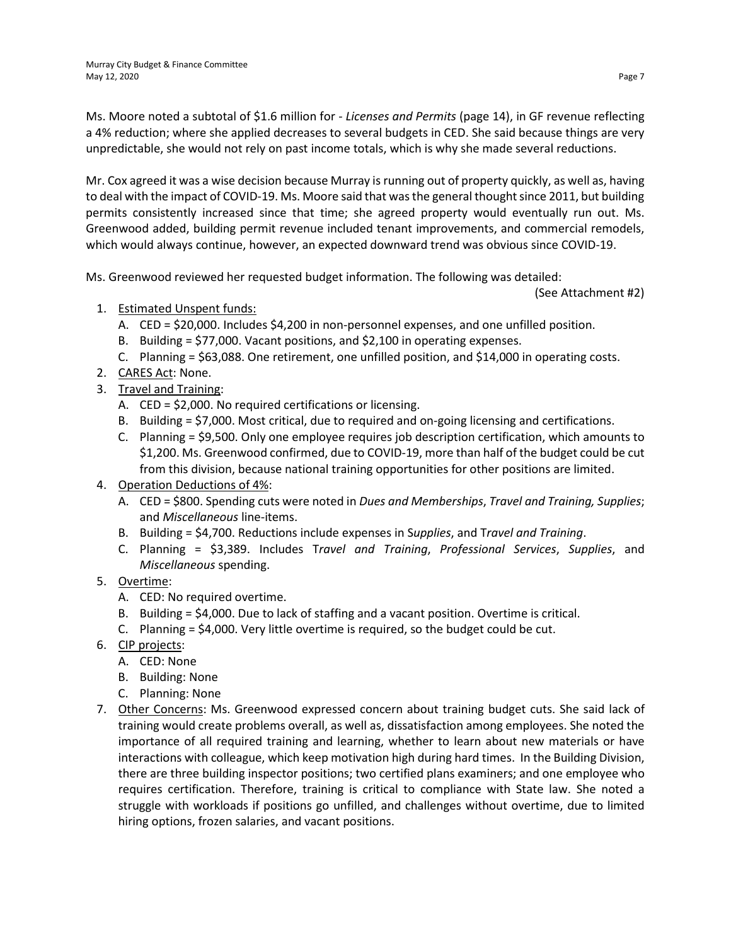Ms. Moore noted a subtotal of \$1.6 million for - *Licenses and Permits* (page 14), in GF revenue reflecting a 4% reduction; where she applied decreases to several budgets in CED. She said because things are very unpredictable, she would not rely on past income totals, which is why she made several reductions.

Mr. Cox agreed it was a wise decision because Murray is running out of property quickly, as well as, having to deal with the impact of COVID-19. Ms. Moore said that was the general thought since 2011, but building permits consistently increased since that time; she agreed property would eventually run out. Ms. Greenwood added, building permit revenue included tenant improvements, and commercial remodels, which would always continue, however, an expected downward trend was obvious since COVID-19.

Ms. Greenwood reviewed her requested budget information. The following was detailed:

(See Attachment #2)

- 1. Estimated Unspent funds:
	- A. CED = \$20,000. Includes \$4,200 in non-personnel expenses, and one unfilled position.
	- B. Building = \$77,000. Vacant positions, and \$2,100 in operating expenses.
	- C. Planning = \$63,088. One retirement, one unfilled position, and \$14,000 in operating costs.
- 2. CARES Act: None.
- 3. Travel and Training:
	- A. CED = \$2,000. No required certifications or licensing.
	- B. Building = \$7,000. Most critical, due to required and on-going licensing and certifications.
	- C. Planning = \$9,500. Only one employee requires job description certification, which amounts to \$1,200. Ms. Greenwood confirmed, due to COVID-19, more than half of the budget could be cut from this division, because national training opportunities for other positions are limited.
- 4. Operation Deductions of 4%:
	- A. CED = \$800. Spending cuts were noted in *Dues and Memberships*, *Travel and Training, Supplies*; and *Miscellaneous* line-items.
	- B. Building = \$4,700. Reductions include expenses in S*upplies*, and T*ravel and Training*.
	- C. Planning = \$3,389. Includes T*ravel and Training*, *Professional Services*, *Supplies*, and *Miscellaneous* spending.
- 5. Overtime:
	- A. CED: No required overtime.
	- B. Building = \$4,000. Due to lack of staffing and a vacant position. Overtime is critical.
	- C. Planning = \$4,000. Very little overtime is required, so the budget could be cut.
- 6. CIP projects:
	- A. CED: None
	- B. Building: None
	- C. Planning: None
- 7. Other Concerns: Ms. Greenwood expressed concern about training budget cuts. She said lack of training would create problems overall, as well as, dissatisfaction among employees. She noted the importance of all required training and learning, whether to learn about new materials or have interactions with colleague, which keep motivation high during hard times. In the Building Division, there are three building inspector positions; two certified plans examiners; and one employee who requires certification. Therefore, training is critical to compliance with State law. She noted a struggle with workloads if positions go unfilled, and challenges without overtime, due to limited hiring options, frozen salaries, and vacant positions.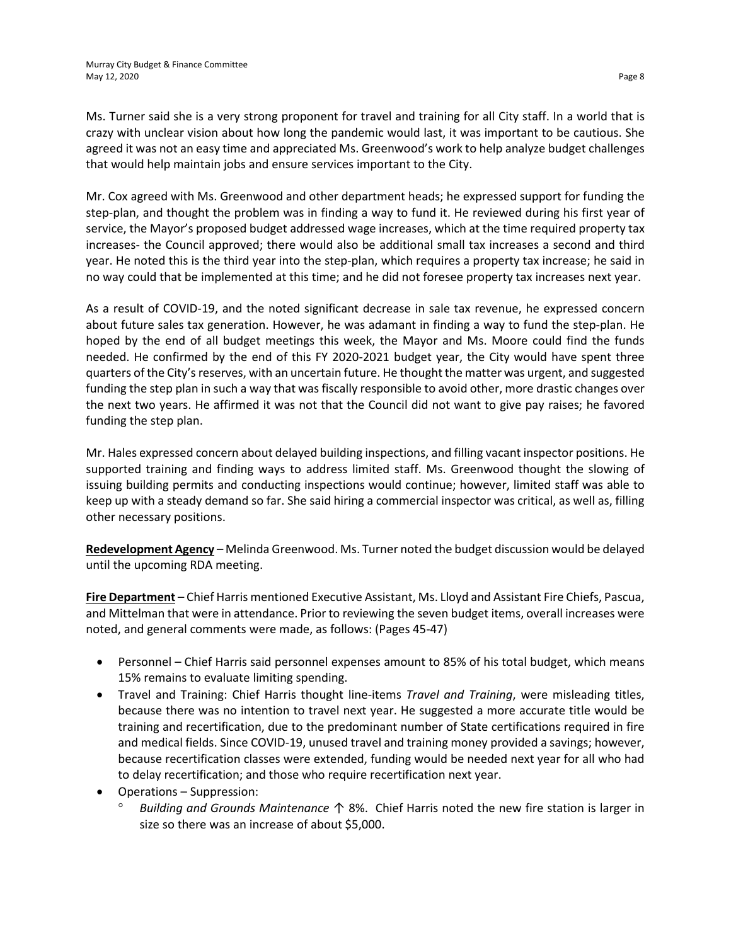Ms. Turner said she is a very strong proponent for travel and training for all City staff. In a world that is crazy with unclear vision about how long the pandemic would last, it was important to be cautious. She agreed it was not an easy time and appreciated Ms. Greenwood's work to help analyze budget challenges that would help maintain jobs and ensure services important to the City.

Mr. Cox agreed with Ms. Greenwood and other department heads; he expressed support for funding the step-plan, and thought the problem was in finding a way to fund it. He reviewed during his first year of service, the Mayor's proposed budget addressed wage increases, which at the time required property tax increases- the Council approved; there would also be additional small tax increases a second and third year. He noted this is the third year into the step-plan, which requires a property tax increase; he said in no way could that be implemented at this time; and he did not foresee property tax increases next year.

As a result of COVID-19, and the noted significant decrease in sale tax revenue, he expressed concern about future sales tax generation. However, he was adamant in finding a way to fund the step-plan. He hoped by the end of all budget meetings this week, the Mayor and Ms. Moore could find the funds needed. He confirmed by the end of this FY 2020-2021 budget year, the City would have spent three quarters of the City's reserves, with an uncertain future. He thought the matter was urgent, and suggested funding the step plan in such a way that was fiscally responsible to avoid other, more drastic changes over the next two years. He affirmed it was not that the Council did not want to give pay raises; he favored funding the step plan.

Mr. Hales expressed concern about delayed building inspections, and filling vacant inspector positions. He supported training and finding ways to address limited staff. Ms. Greenwood thought the slowing of issuing building permits and conducting inspections would continue; however, limited staff was able to keep up with a steady demand so far. She said hiring a commercial inspector was critical, as well as, filling other necessary positions.

**Redevelopment Agency** – Melinda Greenwood. Ms. Turner noted the budget discussion would be delayed until the upcoming RDA meeting.

**Fire Department** – Chief Harris mentioned Executive Assistant, Ms. Lloyd and Assistant Fire Chiefs, Pascua, and Mittelman that were in attendance. Prior to reviewing the seven budget items, overall increases were noted, and general comments were made, as follows: (Pages 45-47)

- Personnel Chief Harris said personnel expenses amount to 85% of his total budget, which means 15% remains to evaluate limiting spending.
- Travel and Training: Chief Harris thought line-items *Travel and Training*, were misleading titles, because there was no intention to travel next year. He suggested a more accurate title would be training and recertification, due to the predominant number of State certifications required in fire and medical fields. Since COVID-19, unused travel and training money provided a savings; however, because recertification classes were extended, funding would be needed next year for all who had to delay recertification; and those who require recertification next year.
- Operations Suppression:
	- ° *Building and Grounds Maintenance* ↑ 8%. Chief Harris noted the new fire station is larger in size so there was an increase of about \$5,000.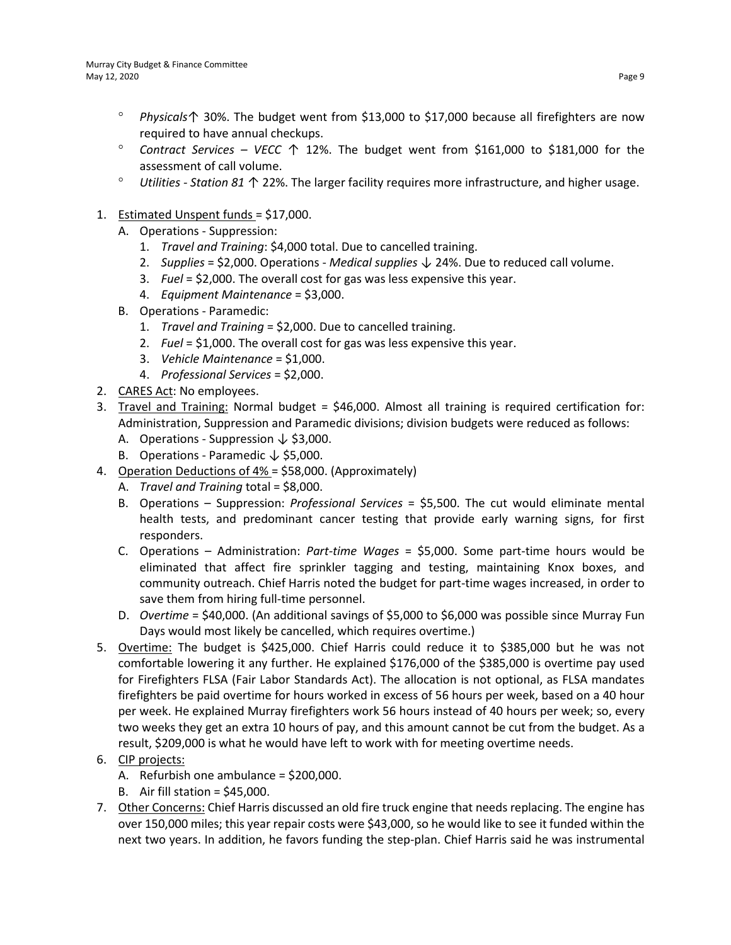- ° *Physicals*↑ 30%. The budget went from \$13,000 to \$17,000 because all firefighters are now required to have annual checkups.
- ° *Contract Services – VECC* ↑ 12%. The budget went from \$161,000 to \$181,000 for the assessment of call volume.
- ° *Utilities - Station 81* ↑ 22%. The larger facility requires more infrastructure, and higher usage.
- 1. Estimated Unspent funds = \$17,000.
	- A. Operations Suppression:
		- 1. *Travel and Training*: \$4,000 total. Due to cancelled training.
		- 2. *Supplies* = \$2,000. Operations *Medical supplies* ↓ 24%. Due to reduced call volume.
		- 3. *Fuel* = \$2,000. The overall cost for gas was less expensive this year.
		- 4. *Equipment Maintenance* = \$3,000.
	- B. Operations Paramedic:
		- 1. *Travel and Training* = \$2,000. Due to cancelled training.
		- 2. *Fuel* = \$1,000. The overall cost for gas was less expensive this year.
		- 3. *Vehicle Maintenance* = \$1,000.
		- 4. *Professional Services* = \$2,000.
- 2. CARES Act: No employees.
- 3. Travel and Training: Normal budget = \$46,000. Almost all training is required certification for: Administration, Suppression and Paramedic divisions; division budgets were reduced as follows:
	- A. Operations Suppression  $\downarrow$  \$3,000.
	- B. Operations Paramedic  $\downarrow$  \$5,000.
- 4. Operation Deductions of 4% = \$58,000. (Approximately)
	- A. *Travel and Training* total = \$8,000.
	- B. Operations Suppression: *Professional Services* = \$5,500. The cut would eliminate mental health tests, and predominant cancer testing that provide early warning signs, for first responders.
	- C. Operations Administration: *Part-time Wages* = \$5,000. Some part-time hours would be eliminated that affect fire sprinkler tagging and testing, maintaining Knox boxes, and community outreach. Chief Harris noted the budget for part-time wages increased, in order to save them from hiring full-time personnel.
	- D. *Overtime* = \$40,000. (An additional savings of \$5,000 to \$6,000 was possible since Murray Fun Days would most likely be cancelled, which requires overtime.)
- 5. Overtime: The budget is \$425,000. Chief Harris could reduce it to \$385,000 but he was not comfortable lowering it any further. He explained \$176,000 of the \$385,000 is overtime pay used for Firefighters FLSA (Fair Labor Standards Act). The allocation is not optional, as FLSA mandates firefighters be paid overtime for hours worked in excess of 56 hours per week, based on a 40 hour per week. He explained Murray firefighters work 56 hours instead of 40 hours per week; so, every two weeks they get an extra 10 hours of pay, and this amount cannot be cut from the budget. As a result, \$209,000 is what he would have left to work with for meeting overtime needs.
- 6. CIP projects:
	- A. Refurbish one ambulance = \$200,000.
	- B. Air fill station = \$45,000.
- 7. Other Concerns: Chief Harris discussed an old fire truck engine that needs replacing. The engine has over 150,000 miles; this year repair costs were \$43,000, so he would like to see it funded within the next two years. In addition, he favors funding the step-plan. Chief Harris said he was instrumental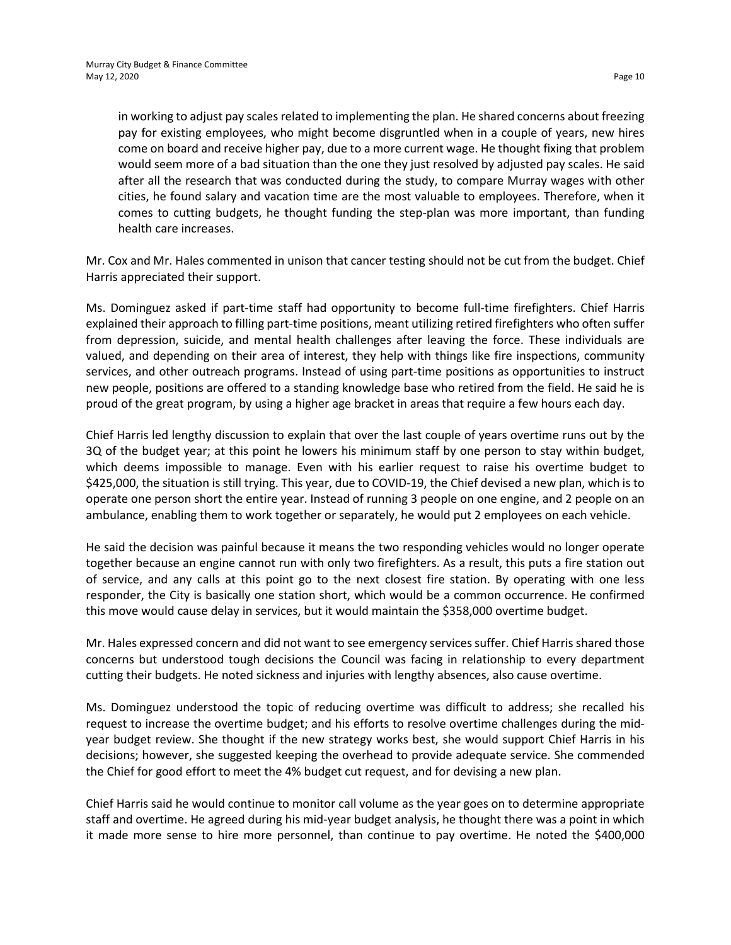in working to adjust pay scales related to implementing the plan. He shared concerns about freezing pay for existing employees, who might become disgruntled when in a couple of years, new hires come on board and receive higher pay, due to a more current wage. He thought fixing that problem would seem more of a bad situation than the one they just resolved by adjusted pay scales. He said after all the research that was conducted during the study, to compare Murray wages with other cities, he found salary and vacation time are the most valuable to employees. Therefore, when it comes to cutting budgets, he thought funding the step-plan was more important, than funding health care increases.

Mr. Cox and Mr. Hales commented in unison that cancer testing should not be cut from the budget. Chief Harris appreciated their support.

Ms. Dominguez asked if part-time staff had opportunity to become full-time firefighters. Chief Harris explained their approach to filling part-time positions, meant utilizing retired firefighters who often suffer from depression, suicide, and mental health challenges after leaving the force. These individuals are valued, and depending on their area of interest, they help with things like fire inspections, community services, and other outreach programs. Instead of using part-time positions as opportunities to instruct new people, positions are offered to a standing knowledge base who retired from the field. He said he is proud of the great program, by using a higher age bracket in areas that require a few hours each day.

Chief Harris led lengthy discussion to explain that over the last couple of years overtime runs out by the 3Q of the budget year; at this point he lowers his minimum staff by one person to stay within budget, which deems impossible to manage. Even with his earlier request to raise his overtime budget to \$425,000, the situation is still trying. This year, due to COVID-19, the Chief devised a new plan, which is to operate one person short the entire year. Instead of running 3 people on one engine, and 2 people on an ambulance, enabling them to work together or separately, he would put 2 employees on each vehicle.

He said the decision was painful because it means the two responding vehicles would no longer operate together because an engine cannot run with only two firefighters. As a result, this puts a fire station out of service, and any calls at this point go to the next closest fire station. By operating with one less responder, the City is basically one station short, which would be a common occurrence. He confirmed this move would cause delay in services, but it would maintain the \$358,000 overtime budget.

Mr. Hales expressed concern and did not want to see emergency services suffer. Chief Harris shared those concerns but understood tough decisions the Council was facing in relationship to every department cutting their budgets. He noted sickness and injuries with lengthy absences, also cause overtime.

Ms. Dominguez understood the topic of reducing overtime was difficult to address; she recalled his request to increase the overtime budget; and his efforts to resolve overtime challenges during the midyear budget review. She thought if the new strategy works best, she would support Chief Harris in his decisions; however, she suggested keeping the overhead to provide adequate service. She commended the Chief for good effort to meet the 4% budget cut request, and for devising a new plan.

Chief Harris said he would continue to monitor call volume as the year goes on to determine appropriate staff and overtime. He agreed during his mid-year budget analysis, he thought there was a point in which it made more sense to hire more personnel, than continue to pay overtime. He noted the \$400,000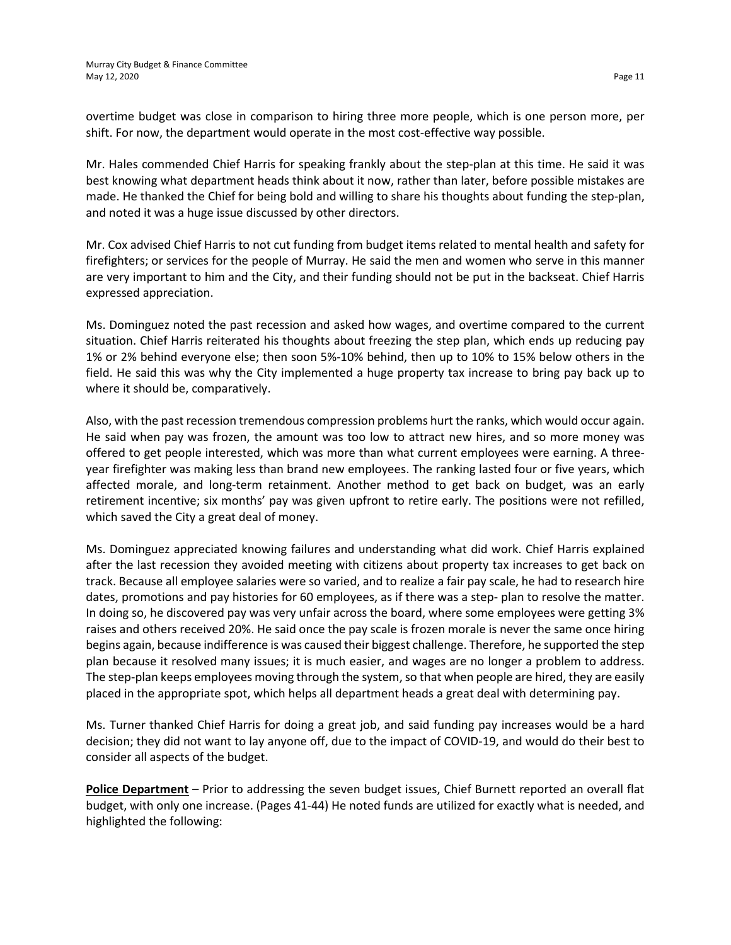overtime budget was close in comparison to hiring three more people, which is one person more, per shift. For now, the department would operate in the most cost-effective way possible.

Mr. Hales commended Chief Harris for speaking frankly about the step-plan at this time. He said it was best knowing what department heads think about it now, rather than later, before possible mistakes are made. He thanked the Chief for being bold and willing to share his thoughts about funding the step-plan, and noted it was a huge issue discussed by other directors.

Mr. Cox advised Chief Harris to not cut funding from budget items related to mental health and safety for firefighters; or services for the people of Murray. He said the men and women who serve in this manner are very important to him and the City, and their funding should not be put in the backseat. Chief Harris expressed appreciation.

Ms. Dominguez noted the past recession and asked how wages, and overtime compared to the current situation. Chief Harris reiterated his thoughts about freezing the step plan, which ends up reducing pay 1% or 2% behind everyone else; then soon 5%-10% behind, then up to 10% to 15% below others in the field. He said this was why the City implemented a huge property tax increase to bring pay back up to where it should be, comparatively.

Also, with the past recession tremendous compression problems hurt the ranks, which would occur again. He said when pay was frozen, the amount was too low to attract new hires, and so more money was offered to get people interested, which was more than what current employees were earning. A threeyear firefighter was making less than brand new employees. The ranking lasted four or five years, which affected morale, and long-term retainment. Another method to get back on budget, was an early retirement incentive; six months' pay was given upfront to retire early. The positions were not refilled, which saved the City a great deal of money.

Ms. Dominguez appreciated knowing failures and understanding what did work. Chief Harris explained after the last recession they avoided meeting with citizens about property tax increases to get back on track. Because all employee salaries were so varied, and to realize a fair pay scale, he had to research hire dates, promotions and pay histories for 60 employees, as if there was a step- plan to resolve the matter. In doing so, he discovered pay was very unfair across the board, where some employees were getting 3% raises and others received 20%. He said once the pay scale is frozen morale is never the same once hiring begins again, because indifference is was caused their biggest challenge. Therefore, he supported the step plan because it resolved many issues; it is much easier, and wages are no longer a problem to address. The step-plan keeps employees moving through the system, so that when people are hired, they are easily placed in the appropriate spot, which helps all department heads a great deal with determining pay.

Ms. Turner thanked Chief Harris for doing a great job, and said funding pay increases would be a hard decision; they did not want to lay anyone off, due to the impact of COVID-19, and would do their best to consider all aspects of the budget.

**Police Department** – Prior to addressing the seven budget issues, Chief Burnett reported an overall flat budget, with only one increase. (Pages 41-44) He noted funds are utilized for exactly what is needed, and highlighted the following: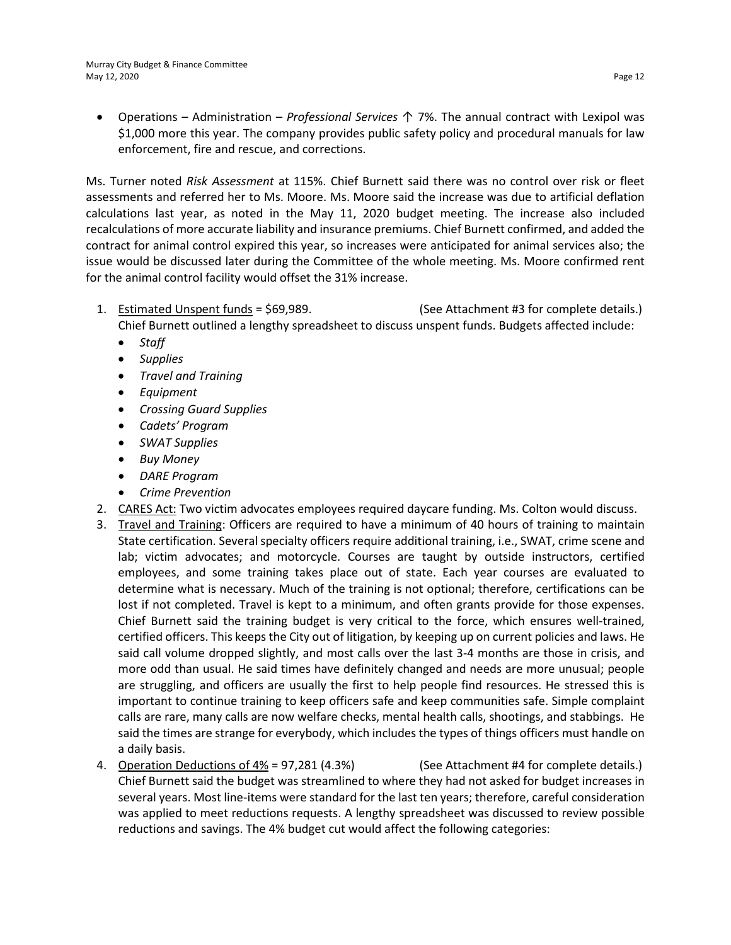• Operations – Administration – *Professional Services* ↑ 7%. The annual contract with Lexipol was \$1,000 more this year. The company provides public safety policy and procedural manuals for law enforcement, fire and rescue, and corrections.

Ms. Turner noted *Risk Assessment* at 115%. Chief Burnett said there was no control over risk or fleet assessments and referred her to Ms. Moore. Ms. Moore said the increase was due to artificial deflation calculations last year, as noted in the May 11, 2020 budget meeting. The increase also included recalculations of more accurate liability and insurance premiums. Chief Burnett confirmed, and added the contract for animal control expired this year, so increases were anticipated for animal services also; the issue would be discussed later during the Committee of the whole meeting. Ms. Moore confirmed rent for the animal control facility would offset the 31% increase.

- 1. Estimated Unspent funds = \$69,989. (See Attachment #3 for complete details.) Chief Burnett outlined a lengthy spreadsheet to discuss unspent funds. Budgets affected include:
	- *Staff*
	- *Supplies*
	- *Travel and Training*
	- *Equipment*
	- *Crossing Guard Supplies*
	- *Cadets' Program*
	- *SWAT Supplies*
	- *Buy Money*
	- *DARE Program*
	- *Crime Prevention*
- 2. CARES Act: Two victim advocates employees required daycare funding. Ms. Colton would discuss.
- 3. Travel and Training: Officers are required to have a minimum of 40 hours of training to maintain State certification. Several specialty officers require additional training, i.e., SWAT, crime scene and lab; victim advocates; and motorcycle. Courses are taught by outside instructors, certified employees, and some training takes place out of state. Each year courses are evaluated to determine what is necessary. Much of the training is not optional; therefore, certifications can be lost if not completed. Travel is kept to a minimum, and often grants provide for those expenses. Chief Burnett said the training budget is very critical to the force, which ensures well-trained, certified officers. This keeps the City out of litigation, by keeping up on current policies and laws. He said call volume dropped slightly, and most calls over the last 3-4 months are those in crisis, and more odd than usual. He said times have definitely changed and needs are more unusual; people are struggling, and officers are usually the first to help people find resources. He stressed this is important to continue training to keep officers safe and keep communities safe. Simple complaint calls are rare, many calls are now welfare checks, mental health calls, shootings, and stabbings. He said the times are strange for everybody, which includes the types of things officers must handle on a daily basis.
- 4. Operation Deductions of 4% = 97,281 (4.3%) (See Attachment #4 for complete details.) Chief Burnett said the budget was streamlined to where they had not asked for budget increases in several years. Most line-items were standard for the last ten years; therefore, careful consideration was applied to meet reductions requests. A lengthy spreadsheet was discussed to review possible reductions and savings. The 4% budget cut would affect the following categories: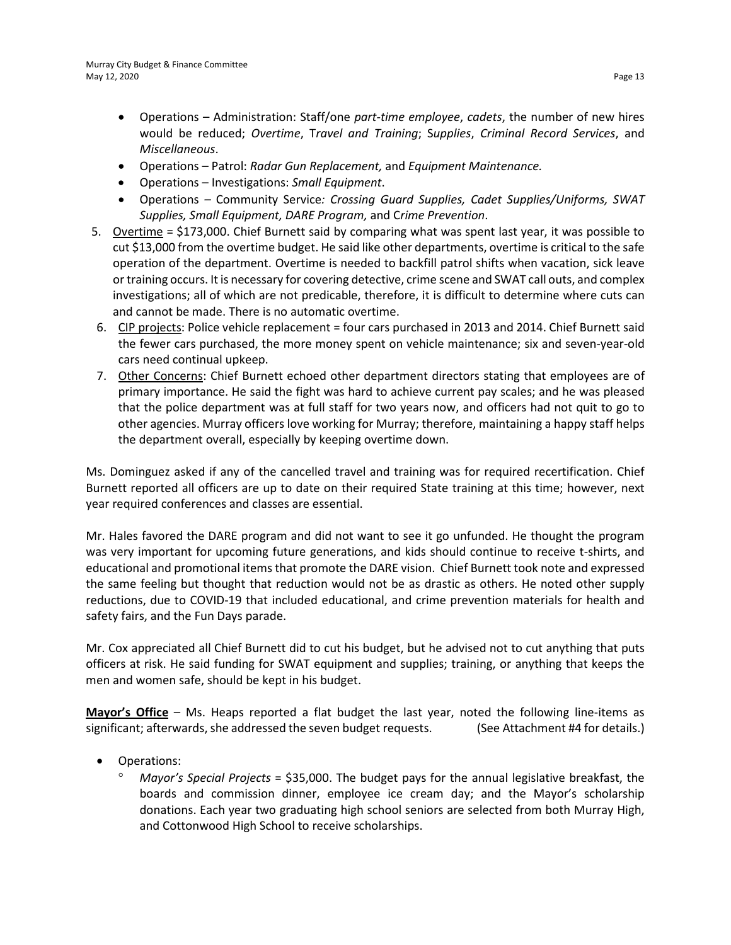- Operations Administration: Staff/one *part-time employee*, *cadets*, the number of new hires would be reduced; *Overtime*, T*ravel and Training*; S*upplies*, *Criminal Record Services*, and *Miscellaneous*.
- Operations Patrol: *Radar Gun Replacement,* and *Equipment Maintenance.*
- Operations Investigations: *Small Equipment*.
- Operations *–* Community Service*: Crossing Guard Supplies, Cadet Supplies/Uniforms, SWAT Supplies, Small Equipment, DARE Program,* and C*rime Prevention*.
- 5. Overtime = \$173,000. Chief Burnett said by comparing what was spent last year, it was possible to cut \$13,000 from the overtime budget. He said like other departments, overtime is critical to the safe operation of the department. Overtime is needed to backfill patrol shifts when vacation, sick leave or training occurs. It is necessary for covering detective, crime scene and SWAT call outs, and complex investigations; all of which are not predicable, therefore, it is difficult to determine where cuts can and cannot be made. There is no automatic overtime.
- 6. CIP projects: Police vehicle replacement = four cars purchased in 2013 and 2014. Chief Burnett said the fewer cars purchased, the more money spent on vehicle maintenance; six and seven-year-old cars need continual upkeep.
- 7. Other Concerns: Chief Burnett echoed other department directors stating that employees are of primary importance. He said the fight was hard to achieve current pay scales; and he was pleased that the police department was at full staff for two years now, and officers had not quit to go to other agencies. Murray officers love working for Murray; therefore, maintaining a happy staff helps the department overall, especially by keeping overtime down.

Ms. Dominguez asked if any of the cancelled travel and training was for required recertification. Chief Burnett reported all officers are up to date on their required State training at this time; however, next year required conferences and classes are essential.

Mr. Hales favored the DARE program and did not want to see it go unfunded. He thought the program was very important for upcoming future generations, and kids should continue to receive t-shirts, and educational and promotional items that promote the DARE vision. Chief Burnett took note and expressed the same feeling but thought that reduction would not be as drastic as others. He noted other supply reductions, due to COVID-19 that included educational, and crime prevention materials for health and safety fairs, and the Fun Days parade.

Mr. Cox appreciated all Chief Burnett did to cut his budget, but he advised not to cut anything that puts officers at risk. He said funding for SWAT equipment and supplies; training, or anything that keeps the men and women safe, should be kept in his budget.

**Mayor's Office** – Ms. Heaps reported a flat budget the last year, noted the following line-items as significant; afterwards, she addressed the seven budget requests. (See Attachment #4 for details.)

- Operations:
	- ° *Mayor's Special Projects* = \$35,000. The budget pays for the annual legislative breakfast, the boards and commission dinner, employee ice cream day; and the Mayor's scholarship donations. Each year two graduating high school seniors are selected from both Murray High, and Cottonwood High School to receive scholarships.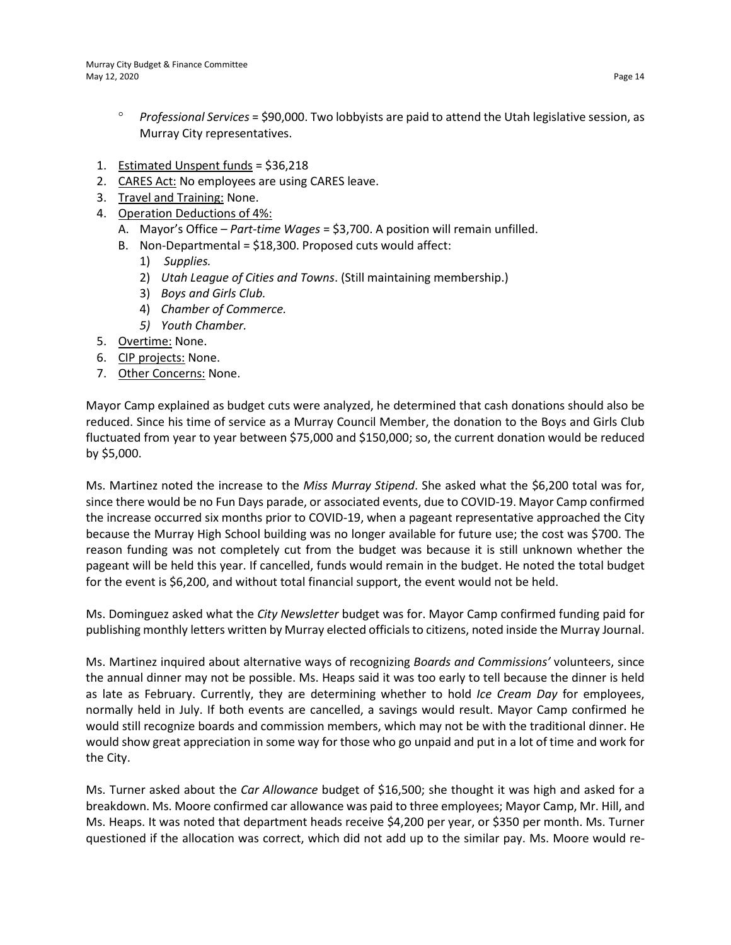- ° *Professional Services* = \$90,000. Two lobbyists are paid to attend the Utah legislative session, as Murray City representatives.
- 1. Estimated Unspent funds = \$36,218
- 2. CARES Act: No employees are using CARES leave.
- 3. Travel and Training: None.
- 4. Operation Deductions of 4%:
	- A. Mayor's Office *Part-time Wages* = \$3,700. A position will remain unfilled.
	- B. Non-Departmental = \$18,300. Proposed cuts would affect:
		- 1) *Supplies.*
		- 2) *Utah League of Cities and Towns*. (Still maintaining membership.)
		- 3) *Boys and Girls Club.*
		- 4) *Chamber of Commerce.*
		- *5) Youth Chamber.*
- 5. Overtime: None.
- 6. CIP projects: None.
- 7. Other Concerns: None.

Mayor Camp explained as budget cuts were analyzed, he determined that cash donations should also be reduced. Since his time of service as a Murray Council Member, the donation to the Boys and Girls Club fluctuated from year to year between \$75,000 and \$150,000; so, the current donation would be reduced by \$5,000.

Ms. Martinez noted the increase to the *Miss Murray Stipend*. She asked what the \$6,200 total was for, since there would be no Fun Days parade, or associated events, due to COVID-19. Mayor Camp confirmed the increase occurred six months prior to COVID-19, when a pageant representative approached the City because the Murray High School building was no longer available for future use; the cost was \$700. The reason funding was not completely cut from the budget was because it is still unknown whether the pageant will be held this year. If cancelled, funds would remain in the budget. He noted the total budget for the event is \$6,200, and without total financial support, the event would not be held.

Ms. Dominguez asked what the *City Newsletter* budget was for. Mayor Camp confirmed funding paid for publishing monthly letters written by Murray elected officials to citizens, noted inside the Murray Journal.

Ms. Martinez inquired about alternative ways of recognizing *Boards and Commissions'* volunteers, since the annual dinner may not be possible. Ms. Heaps said it was too early to tell because the dinner is held as late as February. Currently, they are determining whether to hold *Ice Cream Day* for employees, normally held in July. If both events are cancelled, a savings would result. Mayor Camp confirmed he would still recognize boards and commission members, which may not be with the traditional dinner. He would show great appreciation in some way for those who go unpaid and put in a lot of time and work for the City.

Ms. Turner asked about the *Car Allowance* budget of \$16,500; she thought it was high and asked for a breakdown. Ms. Moore confirmed car allowance was paid to three employees; Mayor Camp, Mr. Hill, and Ms. Heaps. It was noted that department heads receive \$4,200 per year, or \$350 per month. Ms. Turner questioned if the allocation was correct, which did not add up to the similar pay. Ms. Moore would re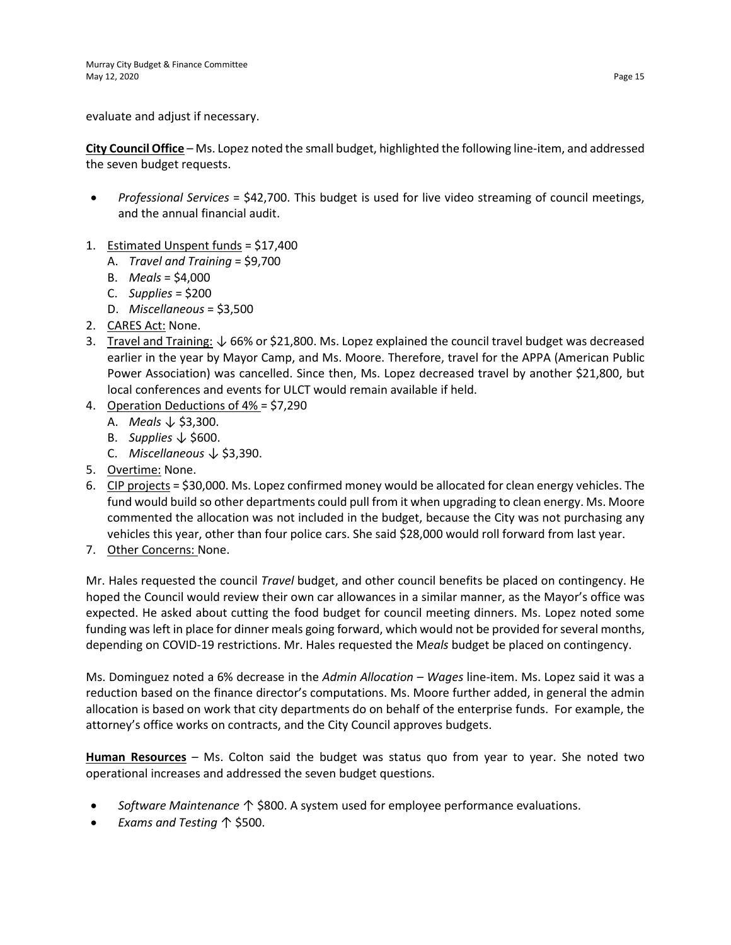evaluate and adjust if necessary.

**City Council Office** – Ms. Lopez noted the small budget, highlighted the following line-item, and addressed the seven budget requests.

- *Professional Services* = \$42,700. This budget is used for live video streaming of council meetings, and the annual financial audit.
- 1. Estimated Unspent funds = \$17,400
	- A. *Travel and Training* = \$9,700
	- B. *Meals* = \$4,000
	- C. *Supplies* = \$200
	- D. *Miscellaneous* = \$3,500
- 2. CARES Act: None.
- 3. Travel and Training: ↓ 66% or \$21,800. Ms. Lopez explained the council travel budget was decreased earlier in the year by Mayor Camp, and Ms. Moore. Therefore, travel for the APPA (American Public Power Association) was cancelled. Since then, Ms. Lopez decreased travel by another \$21,800, but local conferences and events for ULCT would remain available if held.
- 4. Operation Deductions of 4% = \$7,290
	- A. *Meals* ↓ \$3,300.
	- B. *Supplies* ↓ \$600.
	- C. *Miscellaneous* ↓ \$3,390.
- 5. Overtime: None.
- 6. CIP projects = \$30,000. Ms. Lopez confirmed money would be allocated for clean energy vehicles. The fund would build so other departments could pull from it when upgrading to clean energy. Ms. Moore commented the allocation was not included in the budget, because the City was not purchasing any vehicles this year, other than four police cars. She said \$28,000 would roll forward from last year.
- 7. Other Concerns: None.

Mr. Hales requested the council *Travel* budget, and other council benefits be placed on contingency. He hoped the Council would review their own car allowances in a similar manner, as the Mayor's office was expected. He asked about cutting the food budget for council meeting dinners. Ms. Lopez noted some funding was left in place for dinner meals going forward, which would not be provided for several months, depending on COVID-19 restrictions. Mr. Hales requested the M*eals* budget be placed on contingency.

Ms. Dominguez noted a 6% decrease in the *Admin Allocation – Wages* line-item. Ms. Lopez said it was a reduction based on the finance director's computations. Ms. Moore further added, in general the admin allocation is based on work that city departments do on behalf of the enterprise funds. For example, the attorney's office works on contracts, and the City Council approves budgets.

**Human Resources** – Ms. Colton said the budget was status quo from year to year. She noted two operational increases and addressed the seven budget questions.

- *Software Maintenance* ↑ \$800. A system used for employee performance evaluations.
- *Exams and Testing* ↑ \$500.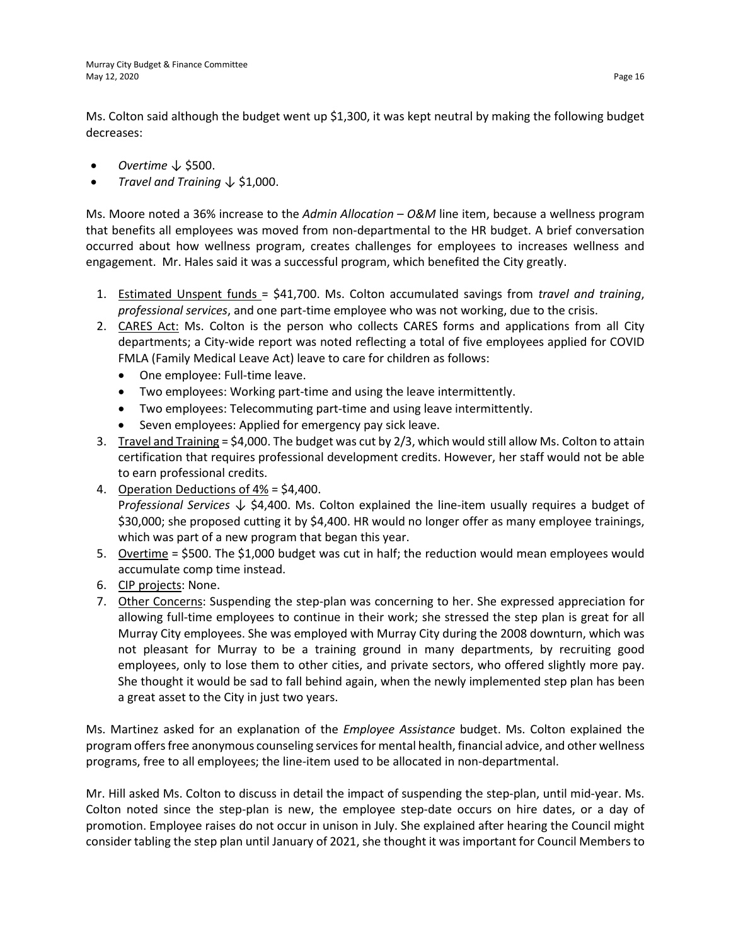Ms. Colton said although the budget went up \$1,300, it was kept neutral by making the following budget decreases:

- *Overtime* ↓ \$500.
- *Travel and Training* ↓ \$1,000.

Ms. Moore noted a 36% increase to the *Admin Allocation – O&M* line item, because a wellness program that benefits all employees was moved from non-departmental to the HR budget. A brief conversation occurred about how wellness program, creates challenges for employees to increases wellness and engagement. Mr. Hales said it was a successful program, which benefited the City greatly.

- 1. Estimated Unspent funds = \$41,700. Ms. Colton accumulated savings from *travel and training*, *professional services*, and one part-time employee who was not working, due to the crisis.
- 2. CARES Act: Ms. Colton is the person who collects CARES forms and applications from all City departments; a City-wide report was noted reflecting a total of five employees applied for COVID FMLA (Family Medical Leave Act) leave to care for children as follows:
	- One employee: Full-time leave.
	- Two employees: Working part-time and using the leave intermittently.
	- Two employees: Telecommuting part-time and using leave intermittently.
	- Seven employees: Applied for emergency pay sick leave.
- 3. Travel and Training = \$4,000. The budget was cut by 2/3, which would still allow Ms. Colton to attain certification that requires professional development credits. However, her staff would not be able to earn professional credits.
- 4. Operation Deductions of 4% = \$4,400. P*rofessional Services* ↓ \$4,400. Ms. Colton explained the line-item usually requires a budget of \$30,000; she proposed cutting it by \$4,400. HR would no longer offer as many employee trainings, which was part of a new program that began this year.
- 5. Overtime = \$500. The \$1,000 budget was cut in half; the reduction would mean employees would accumulate comp time instead.
- 6. CIP projects: None.
- 7. Other Concerns: Suspending the step-plan was concerning to her. She expressed appreciation for allowing full-time employees to continue in their work; she stressed the step plan is great for all Murray City employees. She was employed with Murray City during the 2008 downturn, which was not pleasant for Murray to be a training ground in many departments, by recruiting good employees, only to lose them to other cities, and private sectors, who offered slightly more pay. She thought it would be sad to fall behind again, when the newly implemented step plan has been a great asset to the City in just two years.

Ms. Martinez asked for an explanation of the *Employee Assistance* budget. Ms. Colton explained the program offers free anonymous counseling services for mental health, financial advice, and other wellness programs, free to all employees; the line-item used to be allocated in non-departmental.

Mr. Hill asked Ms. Colton to discuss in detail the impact of suspending the step-plan, until mid-year. Ms. Colton noted since the step-plan is new, the employee step-date occurs on hire dates, or a day of promotion. Employee raises do not occur in unison in July. She explained after hearing the Council might consider tabling the step plan until January of 2021, she thought it was important for Council Members to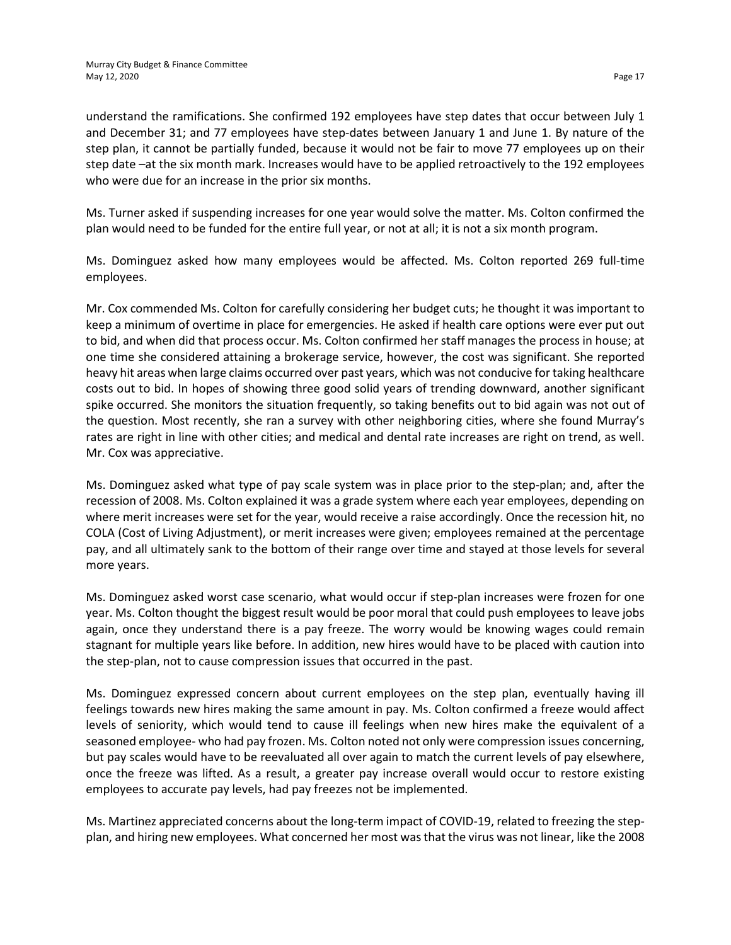understand the ramifications. She confirmed 192 employees have step dates that occur between July 1 and December 31; and 77 employees have step-dates between January 1 and June 1. By nature of the step plan, it cannot be partially funded, because it would not be fair to move 77 employees up on their step date –at the six month mark. Increases would have to be applied retroactively to the 192 employees who were due for an increase in the prior six months.

Ms. Turner asked if suspending increases for one year would solve the matter. Ms. Colton confirmed the plan would need to be funded for the entire full year, or not at all; it is not a six month program.

Ms. Dominguez asked how many employees would be affected. Ms. Colton reported 269 full-time employees.

Mr. Cox commended Ms. Colton for carefully considering her budget cuts; he thought it was important to keep a minimum of overtime in place for emergencies. He asked if health care options were ever put out to bid, and when did that process occur. Ms. Colton confirmed her staff manages the process in house; at one time she considered attaining a brokerage service, however, the cost was significant. She reported heavy hit areas when large claims occurred over past years, which was not conducive for taking healthcare costs out to bid. In hopes of showing three good solid years of trending downward, another significant spike occurred. She monitors the situation frequently, so taking benefits out to bid again was not out of the question. Most recently, she ran a survey with other neighboring cities, where she found Murray's rates are right in line with other cities; and medical and dental rate increases are right on trend, as well. Mr. Cox was appreciative.

Ms. Dominguez asked what type of pay scale system was in place prior to the step-plan; and, after the recession of 2008. Ms. Colton explained it was a grade system where each year employees, depending on where merit increases were set for the year, would receive a raise accordingly. Once the recession hit, no COLA (Cost of Living Adjustment), or merit increases were given; employees remained at the percentage pay, and all ultimately sank to the bottom of their range over time and stayed at those levels for several more years.

Ms. Dominguez asked worst case scenario, what would occur if step-plan increases were frozen for one year. Ms. Colton thought the biggest result would be poor moral that could push employees to leave jobs again, once they understand there is a pay freeze. The worry would be knowing wages could remain stagnant for multiple years like before. In addition, new hires would have to be placed with caution into the step-plan, not to cause compression issues that occurred in the past.

Ms. Dominguez expressed concern about current employees on the step plan, eventually having ill feelings towards new hires making the same amount in pay. Ms. Colton confirmed a freeze would affect levels of seniority, which would tend to cause ill feelings when new hires make the equivalent of a seasoned employee- who had pay frozen. Ms. Colton noted not only were compression issues concerning, but pay scales would have to be reevaluated all over again to match the current levels of pay elsewhere, once the freeze was lifted. As a result, a greater pay increase overall would occur to restore existing employees to accurate pay levels, had pay freezes not be implemented.

Ms. Martinez appreciated concerns about the long-term impact of COVID-19, related to freezing the stepplan, and hiring new employees. What concerned her most was that the virus was not linear, like the 2008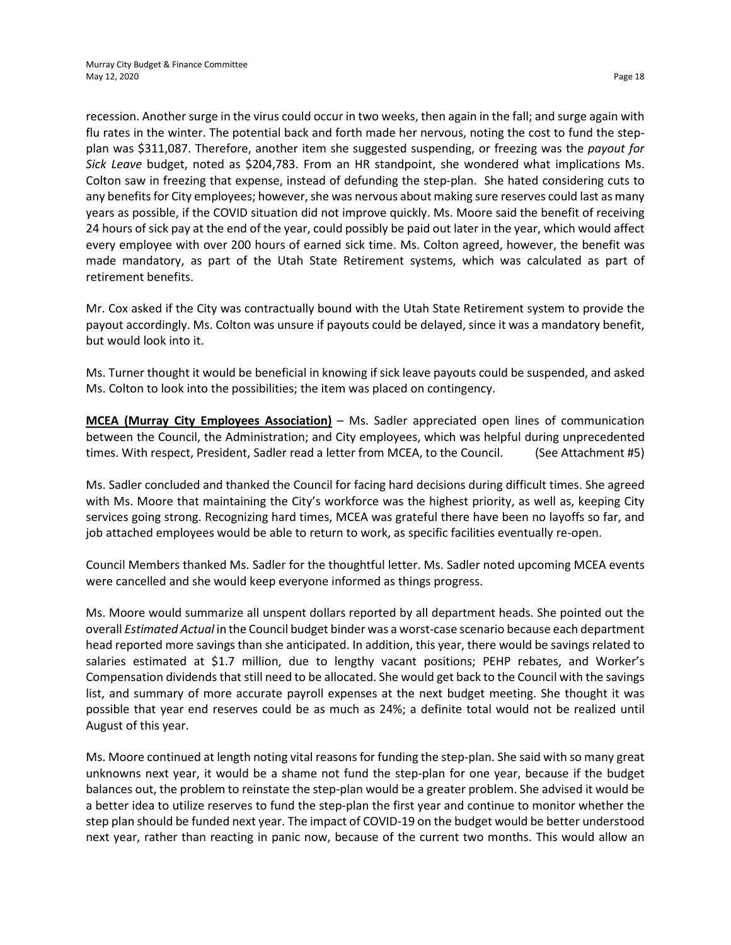recession. Another surge in the virus could occur in two weeks, then again in the fall; and surge again with flu rates in the winter. The potential back and forth made her nervous, noting the cost to fund the stepplan was \$311,087. Therefore, another item she suggested suspending, or freezing was the *payout for Sick Leave* budget, noted as \$204,783. From an HR standpoint, she wondered what implications Ms. Colton saw in freezing that expense, instead of defunding the step-plan. She hated considering cuts to any benefits for City employees; however, she was nervous about making sure reserves could last as many years as possible, if the COVID situation did not improve quickly. Ms. Moore said the benefit of receiving 24 hours of sick pay at the end of the year, could possibly be paid out later in the year, which would affect every employee with over 200 hours of earned sick time. Ms. Colton agreed, however, the benefit was made mandatory, as part of the Utah State Retirement systems, which was calculated as part of retirement benefits.

Mr. Cox asked if the City was contractually bound with the Utah State Retirement system to provide the payout accordingly. Ms. Colton was unsure if payouts could be delayed, since it was a mandatory benefit, but would look into it.

Ms. Turner thought it would be beneficial in knowing if sick leave payouts could be suspended, and asked Ms. Colton to look into the possibilities; the item was placed on contingency.

**MCEA (Murray City Employees Association)** – Ms. Sadler appreciated open lines of communication between the Council, the Administration; and City employees, which was helpful during unprecedented times. With respect, President, Sadler read a letter from MCEA, to the Council. (See Attachment #5)

Ms. Sadler concluded and thanked the Council for facing hard decisions during difficult times. She agreed with Ms. Moore that maintaining the City's workforce was the highest priority, as well as, keeping City services going strong. Recognizing hard times, MCEA was grateful there have been no layoffs so far, and job attached employees would be able to return to work, as specific facilities eventually re-open.

Council Members thanked Ms. Sadler for the thoughtful letter. Ms. Sadler noted upcoming MCEA events were cancelled and she would keep everyone informed as things progress.

Ms. Moore would summarize all unspent dollars reported by all department heads. She pointed out the overall *Estimated Actual* in the Council budget binder was a worst-case scenario because each department head reported more savings than she anticipated. In addition, this year, there would be savings related to salaries estimated at \$1.7 million, due to lengthy vacant positions; PEHP rebates, and Worker's Compensation dividends that still need to be allocated. She would get back to the Council with the savings list, and summary of more accurate payroll expenses at the next budget meeting. She thought it was possible that year end reserves could be as much as 24%; a definite total would not be realized until August of this year.

Ms. Moore continued at length noting vital reasons for funding the step-plan. She said with so many great unknowns next year, it would be a shame not fund the step-plan for one year, because if the budget balances out, the problem to reinstate the step-plan would be a greater problem. She advised it would be a better idea to utilize reserves to fund the step-plan the first year and continue to monitor whether the step plan should be funded next year. The impact of COVID-19 on the budget would be better understood next year, rather than reacting in panic now, because of the current two months. This would allow an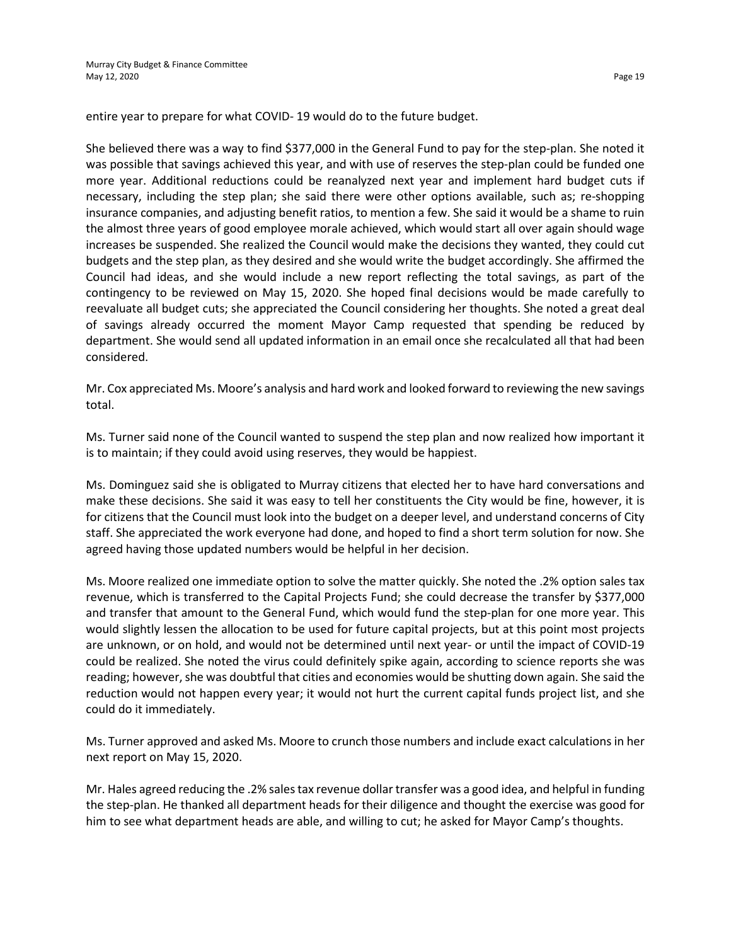entire year to prepare for what COVID- 19 would do to the future budget.

She believed there was a way to find \$377,000 in the General Fund to pay for the step-plan. She noted it was possible that savings achieved this year, and with use of reserves the step-plan could be funded one more year. Additional reductions could be reanalyzed next year and implement hard budget cuts if necessary, including the step plan; she said there were other options available, such as; re-shopping insurance companies, and adjusting benefit ratios, to mention a few. She said it would be a shame to ruin the almost three years of good employee morale achieved, which would start all over again should wage increases be suspended. She realized the Council would make the decisions they wanted, they could cut budgets and the step plan, as they desired and she would write the budget accordingly. She affirmed the Council had ideas, and she would include a new report reflecting the total savings, as part of the contingency to be reviewed on May 15, 2020. She hoped final decisions would be made carefully to reevaluate all budget cuts; she appreciated the Council considering her thoughts. She noted a great deal of savings already occurred the moment Mayor Camp requested that spending be reduced by department. She would send all updated information in an email once she recalculated all that had been considered.

Mr. Cox appreciated Ms. Moore's analysis and hard work and looked forward to reviewing the new savings total.

Ms. Turner said none of the Council wanted to suspend the step plan and now realized how important it is to maintain; if they could avoid using reserves, they would be happiest.

Ms. Dominguez said she is obligated to Murray citizens that elected her to have hard conversations and make these decisions. She said it was easy to tell her constituents the City would be fine, however, it is for citizens that the Council must look into the budget on a deeper level, and understand concerns of City staff. She appreciated the work everyone had done, and hoped to find a short term solution for now. She agreed having those updated numbers would be helpful in her decision.

Ms. Moore realized one immediate option to solve the matter quickly. She noted the .2% option sales tax revenue, which is transferred to the Capital Projects Fund; she could decrease the transfer by \$377,000 and transfer that amount to the General Fund, which would fund the step-plan for one more year. This would slightly lessen the allocation to be used for future capital projects, but at this point most projects are unknown, or on hold, and would not be determined until next year- or until the impact of COVID-19 could be realized. She noted the virus could definitely spike again, according to science reports she was reading; however, she was doubtful that cities and economies would be shutting down again. She said the reduction would not happen every year; it would not hurt the current capital funds project list, and she could do it immediately.

Ms. Turner approved and asked Ms. Moore to crunch those numbers and include exact calculations in her next report on May 15, 2020.

Mr. Hales agreed reducing the .2% sales tax revenue dollar transfer was a good idea, and helpful in funding the step-plan. He thanked all department heads for their diligence and thought the exercise was good for him to see what department heads are able, and willing to cut; he asked for Mayor Camp's thoughts.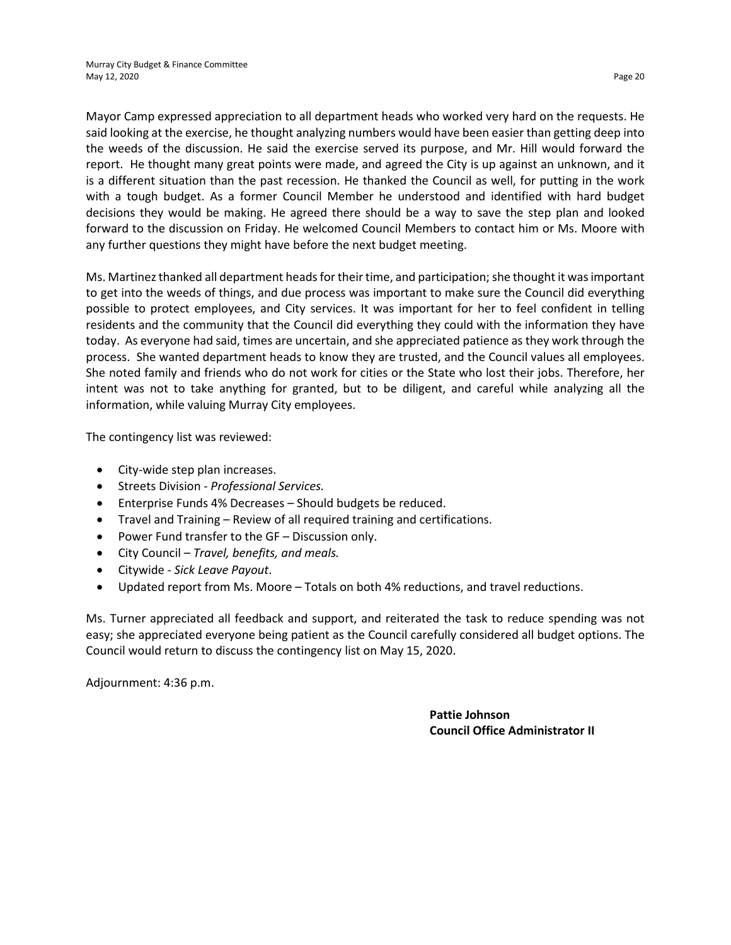Mayor Camp expressed appreciation to all department heads who worked very hard on the requests. He said looking at the exercise, he thought analyzing numbers would have been easier than getting deep into the weeds of the discussion. He said the exercise served its purpose, and Mr. Hill would forward the report. He thought many great points were made, and agreed the City is up against an unknown, and it is a different situation than the past recession. He thanked the Council as well, for putting in the work with a tough budget. As a former Council Member he understood and identified with hard budget decisions they would be making. He agreed there should be a way to save the step plan and looked forward to the discussion on Friday. He welcomed Council Members to contact him or Ms. Moore with any further questions they might have before the next budget meeting.

Ms. Martinez thanked all department heads for their time, and participation; she thought it was important to get into the weeds of things, and due process was important to make sure the Council did everything possible to protect employees, and City services. It was important for her to feel confident in telling residents and the community that the Council did everything they could with the information they have today. As everyone had said, times are uncertain, and she appreciated patience as they work through the process. She wanted department heads to know they are trusted, and the Council values all employees. She noted family and friends who do not work for cities or the State who lost their jobs. Therefore, her intent was not to take anything for granted, but to be diligent, and careful while analyzing all the information, while valuing Murray City employees.

The contingency list was reviewed:

- City-wide step plan increases.
- Streets Division *Professional Services.*
- Enterprise Funds 4% Decreases Should budgets be reduced.
- Travel and Training Review of all required training and certifications.
- Power Fund transfer to the GF Discussion only.
- City Council *Travel, benefits, and meals.*
- Citywide *Sick Leave Payout*.
- Updated report from Ms. Moore Totals on both 4% reductions, and travel reductions.

Ms. Turner appreciated all feedback and support, and reiterated the task to reduce spending was not easy; she appreciated everyone being patient as the Council carefully considered all budget options. The Council would return to discuss the contingency list on May 15, 2020.

Adjournment: 4:36 p.m.

**Pattie Johnson Council Office Administrator II**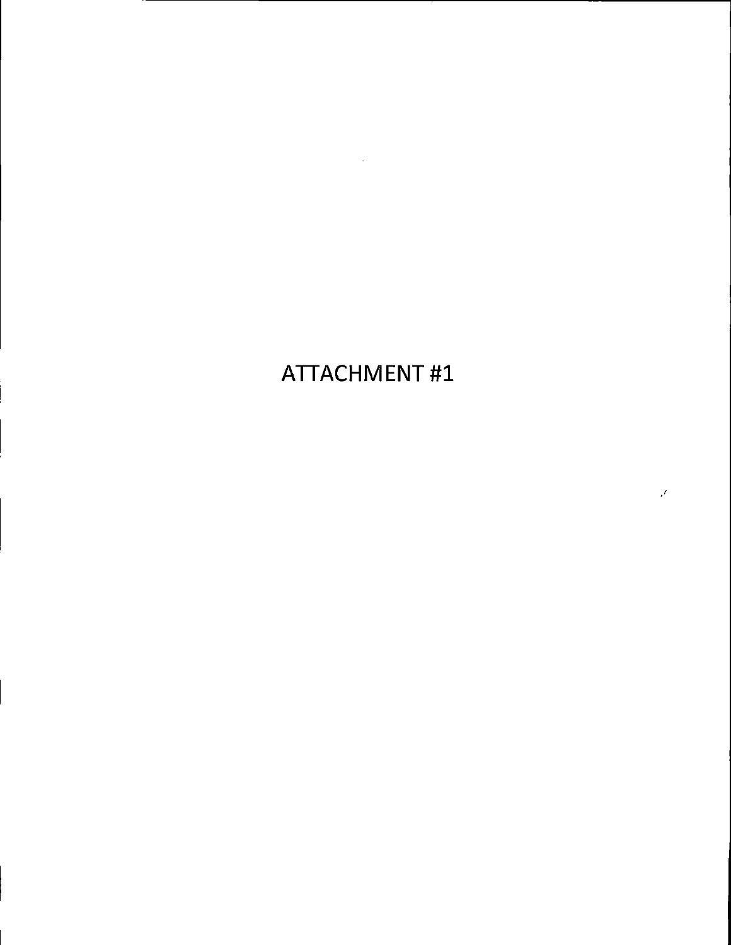# **ATTACHMENT#1**

 $\mathcal{J}$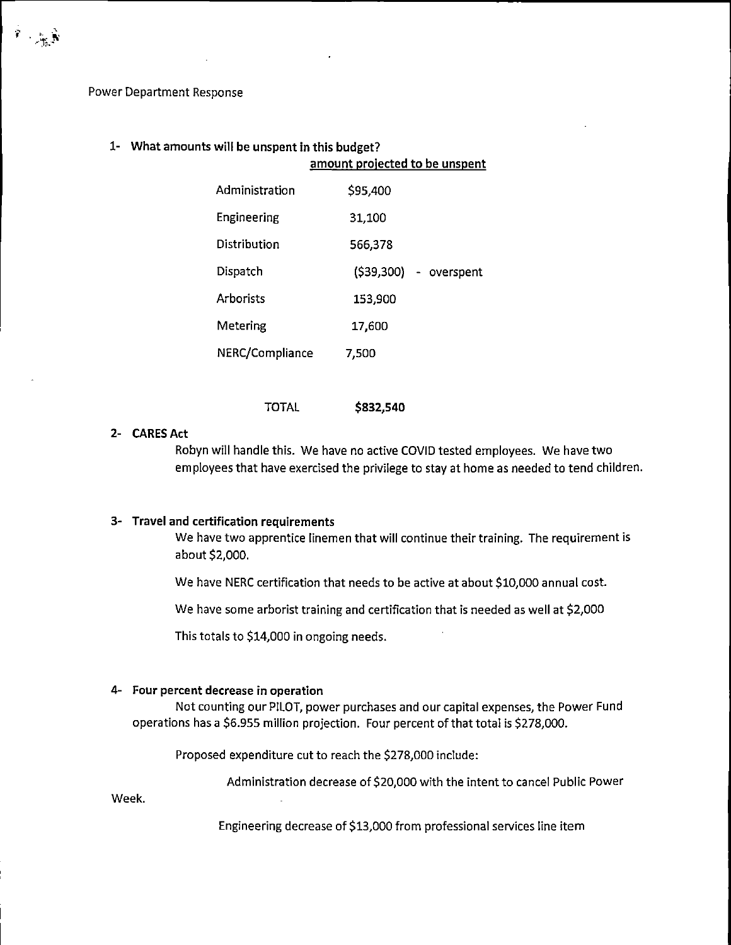**Power Department Response** 

 $\hat{\mathbf{r}}$  ,  $\mathbf{r}_{\text{max}}$  ,

# 1- What amounts will be unspent in this budget?

|                 | amount projected to be unspent |                        |  |  |  |  |
|-----------------|--------------------------------|------------------------|--|--|--|--|
| Administration  | \$95,400                       |                        |  |  |  |  |
| Engineering     | 31,100                         |                        |  |  |  |  |
| Distribution    | 566,378                        |                        |  |  |  |  |
| Dispatch        |                                | (\$39,300) - overspent |  |  |  |  |
| Arhorists       | 153,900                        |                        |  |  |  |  |
| Metering        | 17,600                         |                        |  |  |  |  |
| NERC/Compliance | 7,500                          |                        |  |  |  |  |

**TOTAL** \$832,540

## 2- CARES Act

Robyn will handle this. We have no active COVID tested employees. We have two employees that have exercised the privilege to stay at home as needed to tend children.

#### 3- Travel and certification requirements

We have two apprentice linemen that will continue their training. The requirement is about \$2,000.

We have NERC certification that needs to be active at about \$10,000 annual cost.

We have some arborist training and certification that is needed as well at \$2,000

This totals to \$14,000 in ongoing needs.

#### 4- Four percent decrease in operation

Not counting our PILOT, power purchases and our capital expenses, the Power Fund operations has a \$6.955 million projection. Four percent of that total is \$278,000.

Proposed expenditure cut to reach the \$278,000 include:

Administration decrease of \$20,000 with the intent to cancel Public Power

Week.

Engineering decrease of \$13,000 from professional services line item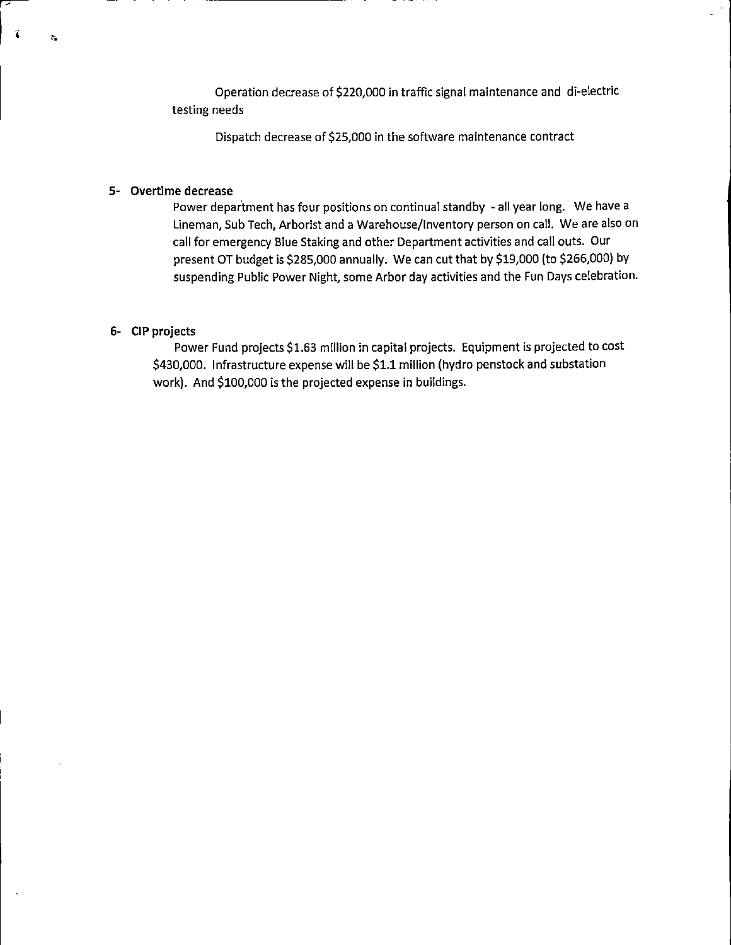Operation decrease of \$220,000 in traffic signal maintenance and di-electric testing needs

Dispatch decrease of \$25,000 in the software maintenance contract

## 5- Overtime decrease

ï

 $\hat{\mathbf{c}}_k$ 

Power department has four positions on continual standby - all year long. We have a Lineman, Sub Tech, Arborist and a Warehouse/Inventory person on call. We are also on call for emergency Blue Staking and other Department activities and call outs. Our present OT budget is \$285,000 annually. We can cut that by \$19,000 (to \$266,000) by suspending Public Power Night, some Arbor day activities and the Fun Days celebration.

#### 6- CIP projects

Power Fund projects \$1.63 million in capital projects. Equipment is projected to cost \$430,000. Infrastructure expense will be \$1.1 million (hydro penstock and substation work). And \$100,000 is the projected expense in buildings.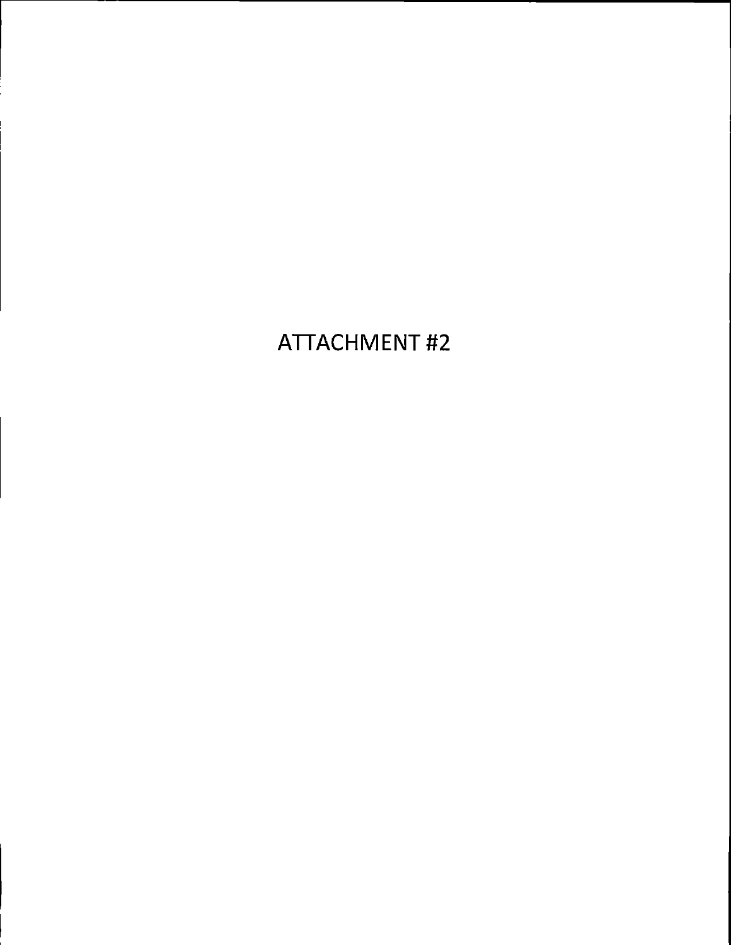# **ATTACHMENT#2**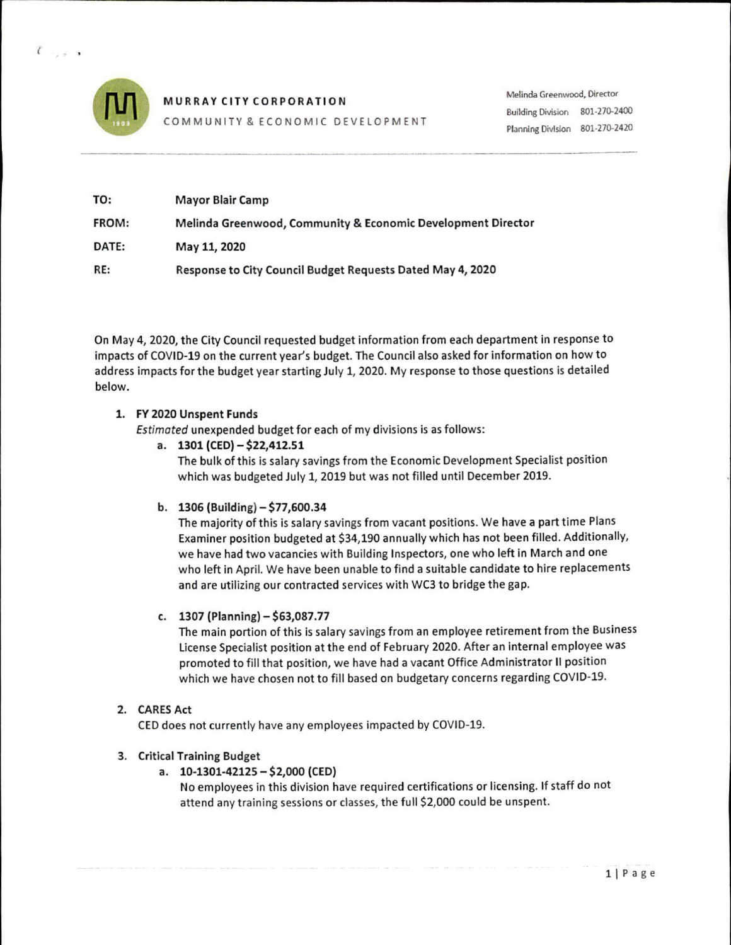

 $\mathcal{U}$  and  $\mathcal{U}$ 

**MURRAY CITY CORPORATION** 

COMMUNITY & ECONOMIC DEVELOPMENT

| TO:          | <b>Mayor Blair Camp</b>                                      |
|--------------|--------------------------------------------------------------|
| <b>FROM:</b> | Melinda Greenwood, Community & Economic Development Director |
| DATE:        | May 11, 2020                                                 |
| RE:          | Response to City Council Budget Requests Dated May 4, 2020   |

On May 4, 2020, the City Council requested budget information from each department in response to impacts of COVID-19 on the current year's budget. The Council also asked for information on how to address impacts for the budget year starting July 1, 2020. My response to those questions is detailed below.

## 1. FY 2020 Unspent Funds

Estimated unexpended budget for each of my divisions is as follows:

#### a. 1301 (CED) - \$22,412.51

The bulk of this is salary savings from the Economic Development Specialist position which was budgeted July 1, 2019 but was not filled until December 2019.

## b.  $1306$  (Building)  $-577,600.34$

The majority of this is salary savings from vacant positions. We have a part time Plans Examiner position budgeted at \$34,190 annually which has not been filled. Additionally, we have had two vacancies with Building Inspectors, one who left in March and one who left in April. We have been unable to find a suitable candidate to hire replacements and are utilizing our contracted services with WC3 to bridge the gap.

## c. 1307 (Planning)  $- $63,087.77$

The main portion of this is salary savings from an employee retirement from the Business License Specialist position at the end of February 2020. After an internal employee was promoted to fill that position, we have had a vacant Office Administrator II position which we have chosen not to fill based on budgetary concerns regarding COVID-19.

## 2. CARES Act

CED does not currently have any employees impacted by COVID-19.

## 3. Critical Training Budget

a.  $10-1301-42125 - $2,000$  (CED)

No employees in this division have required certifications or licensing. If staff do not attend any training sessions or classes, the full \$2,000 could be unspent.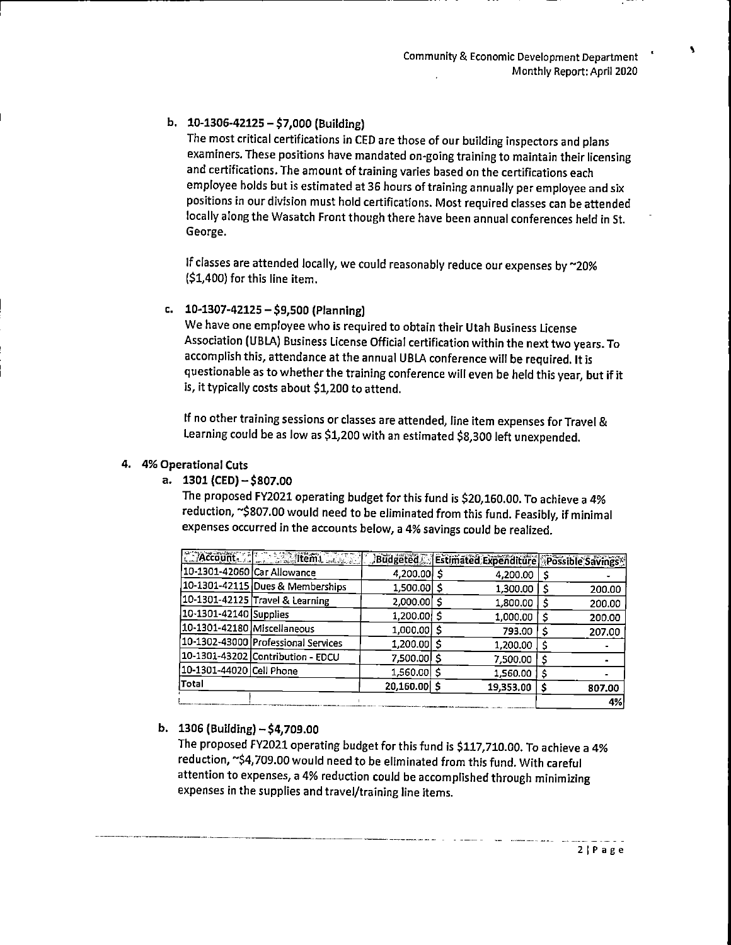#### b.  $10-1306-42125 - 57,000$  (Building)

The most critical certifications in CED are those of our building inspectors and plans examiners. These positions have mandated on-going training to maintain their licensing and certifications. The amount of training varies based on the certifications each employee holds but is estimated at 36 hours of training annually per employee and six positions in our division must hold certifications. Most required classes can be attended locally along the Wasatch Front though there have been annual conferences held in St. George.

If classes are attended locally, we could reasonably reduce our expenses by ~20% (\$1,400) for this line item.

#### c.  $10-1307-42125 - $9,500$  (Planning)

We have one employee who is required to obtain their Utah Business License Association (UBLA) Business License Official certification within the next two years. To accomplish this, attendance at the annual UBLA conference will be required. It is questionable as to whether the training conference will even be held this year, but if it is, it typically costs about \$1,200 to attend.

If no other training sessions or classes are attended, line item expenses for Travel & Learning could be as low as \$1,200 with an estimated \$8,300 left unexpended.

#### 4. 4% Operational Cuts

a.  $1301$  (CED)  $-$  \$807.00

The proposed FY2021 operating budget for this fund is \$20,160.00. To achieve a 4% reduction, ~\$807.00 would need to be eliminated from this fund. Feasibly, if minimal expenses occurred in the accounts below, a 4% savings could be realized.

|                             | <b>CEAccount. ALL SEARCH LASSES</b> | Budgeted     | Estimated Expenditure Possible Savings |        |
|-----------------------------|-------------------------------------|--------------|----------------------------------------|--------|
| 10-1301-42060 Car Allowance |                                     | 4,200.00     | 4,200.00                               |        |
|                             | 10-1301-42115 Dues & Memberships    | 1,500.00     | 1,300.00                               | 200.00 |
|                             | 10-1301-42125 Travel & Learning     | 2,000.00     | 1,800.00                               | 200.00 |
| 10-1301-42140 Supplies      |                                     | 1,200.00     | 1,000.00                               | 200.00 |
| 10-1301-42180 Miscellaneous |                                     | 1,000,00     | 793.00                                 | 207.00 |
|                             | 10-1302-43000 Professional Services | 1,200.00     | 1,200.00                               |        |
|                             | 10-1301-43202 Contribution - EDCU   | 7,500.00     | 7,500.00                               |        |
| 10-1301-44020 Cell Phone    |                                     | 1,560.00     | 1,560.00                               |        |
| Total                       |                                     | 20,160.00 \$ | 19,353.00                              | 807.00 |
|                             |                                     |              |                                        | 4%     |

## b.  $1306$  (Building)  $-$  \$4,709.00

The proposed FY2021 operating budget for this fund is \$117,710.00. To achieve a 4% reduction, ~\$4,709.00 would need to be eliminated from this fund. With careful attention to expenses, a 4% reduction could be accomplished through minimizing expenses in the supplies and travel/training line items.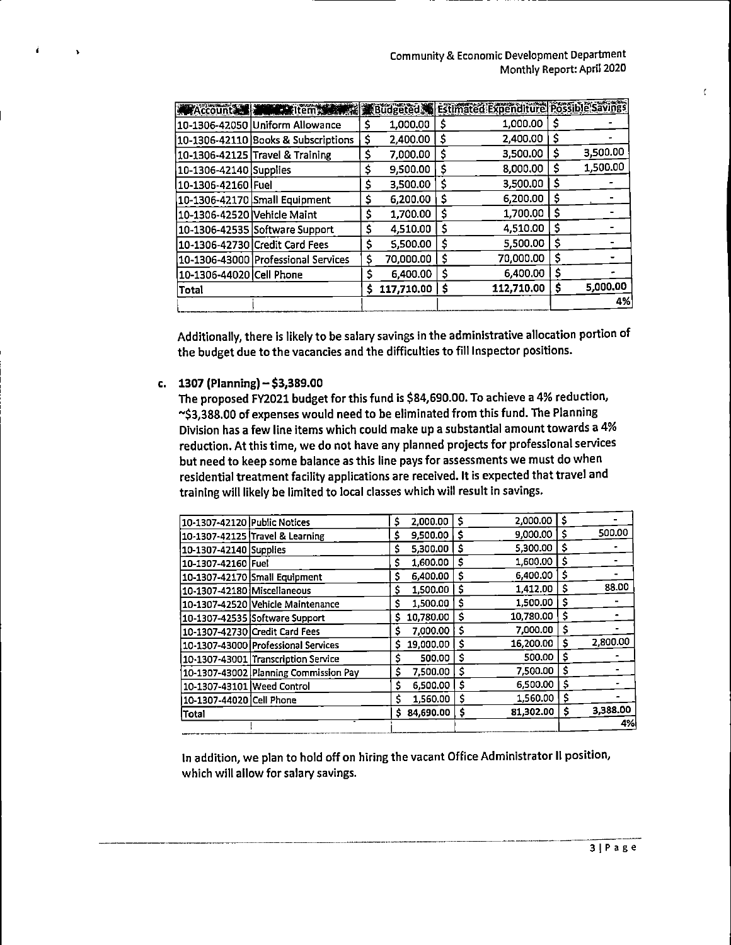$\overline{\mathbf{r}}$ 

| Account                     | <b>William Street Street Service</b> |    |            |    | Budgeted Estimated Expenditure Possible Savings |     |          |
|-----------------------------|--------------------------------------|----|------------|----|-------------------------------------------------|-----|----------|
|                             | 10-1306-42050 Uniform Allowance      | S  | 1,000.00   | S  | 1,000.00                                        | S   |          |
|                             | 10-1306-42110 Books & Subscriptions  | \$ | 2,400.00   | \$ | 2,400.00                                        | Ş   |          |
|                             | 10-1306-42125 Travel & Training      | \$ | 7.000.00   | \$ | 3,500.00                                        | S   | 3,500.00 |
| 10-1306-42140 Supplies      |                                      | Ś  | 9,500.00   | \$ | 8,000,00                                        | Ş   | 1,500.00 |
| 10-1306-42160 Fuel          |                                      | \$ | 3.500.00   | s  | 3,500.00                                        | \$, |          |
|                             | 10-1306-42170 Small Equipment        | \$ | 6,200.00   | \$ | 6,200.00                                        | \$  |          |
| 10-1306-42520 Vehicle Maint |                                      | \$ | 1,700.00   | \$ | 1,700.00                                        | S   |          |
|                             | 10-1306-42535 Software Support       | \$ | 4,510.00   | \$ | 4,510.00                                        | S   |          |
|                             | 10-1306-42730 Credit Card Fees       | \$ | 5,500.00   | \$ | 5,500.00                                        | S   |          |
|                             | 10-1306-43000 Professional Services  | \$ | 70,000.00  | \$ | 70,000.00                                       |     |          |
| 10-1306-44020 Cell Phone    |                                      | \$ | 6,400.00   | \$ | 6,400.00                                        | S   |          |
| Total                       |                                      | s  | 117,710.00 | \$ | 112,710.00                                      | s   | 5,000.00 |
|                             |                                      |    |            |    |                                                 |     | 4%       |

Additionally, there is likely to be salary savings in the administrative allocation portion of the budget due to the vacancies and the difficulties to fill Inspector positions.

#### c. 1307 (Planning)  $-$  \$3,389.00

The proposed FY2021 budget for this fund is \$84,690.00. To achieve a 4% reduction, ~\$3,388.00 of expenses would need to be eliminated from this fund. The Planning Division has a few line items which could make up a substantial amount towards a 4% reduction. At this time, we do not have any planned projects for professional services but need to keep some balance as this line pays for assessments we must do when residential treatment facility applications are received. It is expected that travel and training will likely be limited to local classes which will result in savings.

| 10-1307-42120 Public Notices |                                       | \$ | 2,000.00  | Ś  | 2,000.00  | Ś  |          |
|------------------------------|---------------------------------------|----|-----------|----|-----------|----|----------|
|                              | 10-1307-42125 Travel & Learning       | s  | 9,500.00  | \$ | 9.000.00  | s  | 500.00   |
| 10-1307-42140 Supplies       |                                       | s  | 5,300.00  | Ś  | 5,300.00  | s  |          |
| 10-1307-42160 Fuel           |                                       | s  | 1,600.00  | Ś  | 1,600.00  | Ŝ  |          |
|                              | 10-1307-42170 Small Equipment         | s  | 6,400.00  | S  | 6,400.00  | Ŝ  |          |
| 10-1307-42180 Miscellaneous  |                                       | s  | 1,500,00  | S  | 1,412.00  | s  | 88.00    |
|                              | 10-1307-42520 Vehicle Maintenance     | S  | 1,500.00  | Ś  | 1,500.00  | s  |          |
|                              | 10-1307-42535 Software Support        | s  | 10,780.00 | S  | 10,780.00 | S  |          |
|                              | 10-1307-42730 Credit Card Fees        | S  | 7.000.00  | \$ | 7,000.00  | S  |          |
|                              | 10-1307-43000 Professional Services   |    | 19,000.00 | Ŝ  | 16,200.00 | s  | 2,800.00 |
|                              | 10-1307-43001 Transcription Service   | Ś. | 500.00    | Ś  | 500.00    | Ŝ  |          |
|                              | 10-1307-43002 Planning Commission Pay | Ś  | 7.500.00  | Ś  | 7,500.00  | Ŝ  |          |
| 10-1307-43101 Weed Control   |                                       | Ś  | 6,500.00  | S  | 6,500.00  | \$ |          |
| 10-1307-44020 Cell Phone     |                                       | Ś  | 1,560.00  | \$ | 1,560.00  | Ś  |          |
| lTotal                       |                                       | s. | 84,690.00 | \$ | 81,302.00 | \$ | 3,388.00 |
|                              |                                       |    |           |    |           |    | 4%       |
|                              |                                       |    |           |    |           |    |          |

In addition, we plan to hold off on hiring the vacant Office Administrator II position, which will allow for salary savings.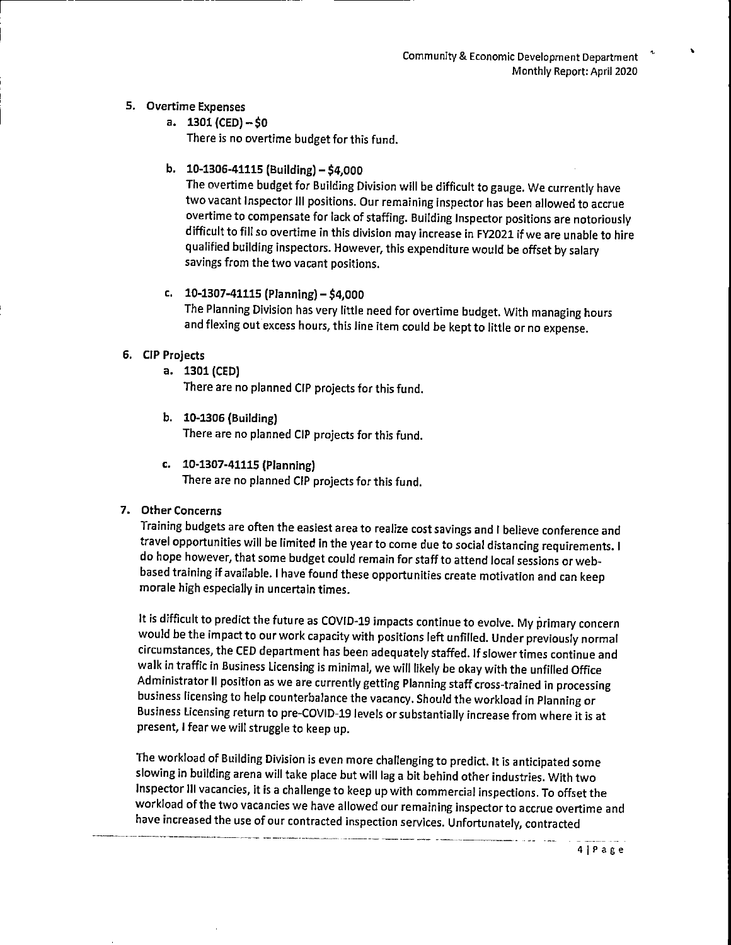#### 5. Overtime Expenses

- a.  $1301$  (CED)  $-50$ There is no overtime budget for this fund.
- b.  $10-1306-41115$  (Building) \$4,000

The overtime budget for Building Division will be difficult to gauge. We currently have two vacant Inspector III positions. Our remaining inspector has been allowed to accrue overtime to compensate for lack of staffing. Building Inspector positions are notoriously difficult to fill so overtime in this division may increase in FY2021 if we are unable to hire qualified building inspectors. However, this expenditure would be offset by salary savings from the two vacant positions.

# c. 10-1307-41115 (Planning)  $- $4,000$

The Planning Division has very little need for overtime budget. With managing hours and flexing out excess hours, this line item could be kept to little or no expense.

## 6. CIP Projects

a. 1301 (CED)

There are no planned CIP projects for this fund.

- b. 10-1306 (Building) There are no planned CIP projects for this fund.
- c. 10-1307-41115 (Planning) There are no planned CIP projects for this fund.

## 7. Other Concerns

Training budgets are often the easiest area to realize cost savings and I believe conference and travel opportunities will be limited in the year to come due to social distancing requirements. I do hope however, that some budget could remain for staff to attend local sessions or webbased training if available. I have found these opportunities create motivation and can keep morale high especially in uncertain times.

It is difficult to predict the future as COVID-19 impacts continue to evolve. My primary concern would be the impact to our work capacity with positions left unfilled. Under previously normal circumstances, the CED department has been adequately staffed. If slower times continue and walk in traffic in Business Licensing is minimal, we will likely be okay with the unfilled Office Administrator II position as we are currently getting Planning staff cross-trained in processing business licensing to help counterbalance the vacancy. Should the workload in Planning or Business Licensing return to pre-COVID-19 levels or substantially increase from where it is at present, I fear we will struggle to keep up.

The workload of Building Division is even more challenging to predict. It is anticipated some slowing in building arena will take place but will lag a bit behind other industries. With two Inspector III vacancies, it is a challenge to keep up with commercial inspections. To offset the workload of the two vacancies we have allowed our remaining inspector to accrue overtime and have increased the use of our contracted inspection services. Unfortunately, contracted